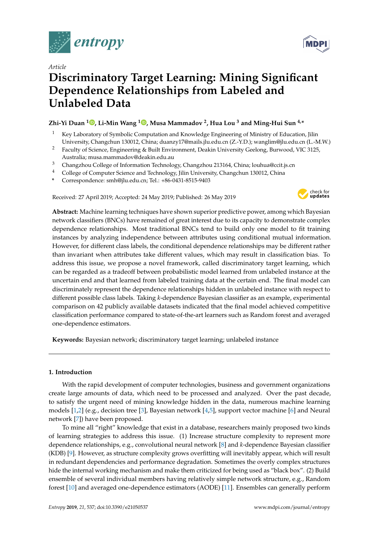

*Article*

# **Discriminatory Target Learning: Mining Significant Dependence Relationships from Labeled and Unlabeled Data**

# **Zhi-Yi Duan <sup>1</sup> [,](https://orcid.org/0000-0003-4650-2148) Li-Min Wang <sup>1</sup> [,](https://orcid.org/0000-0003-2459-3907) Musa Mammadov <sup>2</sup> , Hua Lou <sup>3</sup> and Ming-Hui Sun 4,\***

- <sup>1</sup> Key Laboratory of Symbolic Computation and Knowledge Engineering of Ministry of Education, Jilin University, Changchun 130012, China; duanzy17@mails.jlu.edu.cn (Z.-Y.D.); wanglim@jlu.edu.cn (L.-M.W.)
- <sup>2</sup> Faculty of Science, Engineering & Built Environment, Deakin University Geelong, Burwood, VIC 3125, Australia; musa.mammadov@deakin.edu.au
- <sup>3</sup> Changzhou College of Information Technology, Changzhou 213164, China; louhua@ccit.js.cn
- <sup>4</sup> College of Computer Science and Technology, Jilin University, Changchun 130012, China
- **\*** Correspondence: smh@jlu.edu.cn; Tel.: +86-0431-8515-9403

Received: 27 April 2019; Accepted: 24 May 2019; Published: 26 May 2019



**Abstract:** Machine learning techniques have shown superior predictive power, among which Bayesian network classifiers (BNCs) have remained of great interest due to its capacity to demonstrate complex dependence relationships. Most traditional BNCs tend to build only one model to fit training instances by analyzing independence between attributes using conditional mutual information. However, for different class labels, the conditional dependence relationships may be different rather than invariant when attributes take different values, which may result in classification bias. To address this issue, we propose a novel framework, called discriminatory target learning, which can be regarded as a tradeoff between probabilistic model learned from unlabeled instance at the uncertain end and that learned from labeled training data at the certain end. The final model can discriminately represent the dependence relationships hidden in unlabeled instance with respect to different possible class labels. Taking *k*-dependence Bayesian classifier as an example, experimental comparison on 42 publicly available datasets indicated that the final model achieved competitive classification performance compared to state-of-the-art learners such as Random forest and averaged one-dependence estimators.

**Keywords:** Bayesian network; discriminatory target learning; unlabeled instance

# **1. Introduction**

With the rapid development of computer technologies, business and government organizations create large amounts of data, which need to be processed and analyzed. Over the past decade, to satisfy the urgent need of mining knowledge hidden in the data, numerous machine learning models [\[1](#page-23-0)[,2\]](#page-23-1) (e.g., decision tree [\[3\]](#page-23-2), Bayesian network [\[4](#page-23-3)[,5\]](#page-24-0), support vector machine [\[6\]](#page-24-1) and Neural network [\[7\]](#page-24-2)) have been proposed.

To mine all "right" knowledge that exist in a database, researchers mainly proposed two kinds of learning strategies to address this issue. (1) Increase structure complexity to represent more dependence relationships, e.g., convolutional neural network [\[8\]](#page-24-3) and *k*-dependence Bayesian classifier (KDB) [\[9\]](#page-24-4). However, as structure complexity grows overfitting will inevitably appear, which will result in redundant dependencies and performance degradation. Sometimes the overly complex structures hide the internal working mechanism and make them criticized for being used as "black box". (2) Build ensemble of several individual members having relatively simple network structure, e.g., Random forest [\[10\]](#page-24-5) and averaged one-dependence estimators (AODE) [\[11\]](#page-24-6). Ensembles can generally perform

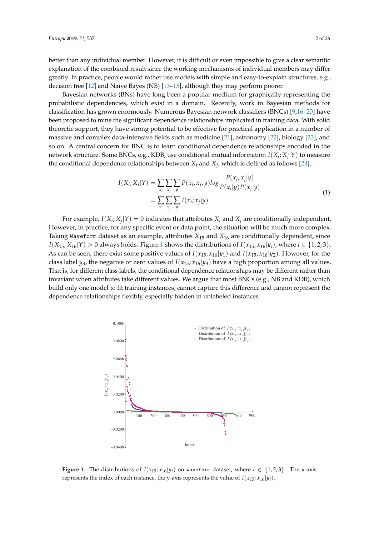Bayesian networks (BNs) have long been a popular medium for graphically representing the probabilistic dependencies, which exist in a domain. Recently, work in Bayesian methods for classification has grown enormously. Numerous Bayesian network classifiers (BNCs) [\[9,](#page-24-4)[16–](#page-24-10)[20\]](#page-24-11) have been proposed to mine the significant dependence relationships implicated in training data. With solid theoretic support, they have strong potential to be effective for practical application in a number of massive and complex data-intensive fields such as medicine [\[21\]](#page-24-12), astronomy [\[22\]](#page-24-13), biology [\[23\]](#page-24-14), and so on. A central concern for BNC is to learn conditional dependence relationships encoded in the network structure. Some BNCs, e.g., KDB, use conditional mutual information *I*(*X<sup>i</sup>* ; *X<sup>j</sup>* |*Y*) to measure the conditional dependence relationships between  $X_i$  and  $X_j$ , which is defined as follows [\[24\]](#page-24-15),

<span id="page-1-1"></span>
$$
I(X_i; X_j | Y) = \sum_{x_i} \sum_{x_j} \sum_{y} P(x_i, x_j, y) \log \frac{P(x_i, x_j | y)}{P(x_i | y) P(x_j | y)}
$$
  
= 
$$
\sum_{x_i} \sum_{x_j} \sum_{y} I(x_i; x_j | y)
$$
 (1)

For example,  $I(X_i; X_j | Y) = 0$  indicates that attributes  $X_i$  and  $X_j$  are conditionally independent. However, in practice, for any specific event or data point, the situation will be much more complex. Taking Waveform dataset as an example, attributes *X*<sup>15</sup> and *X*<sup>16</sup> are conditionally dependent, since  $I(X_{15}; X_{16}|Y) > 0$  $I(X_{15}; X_{16}|Y) > 0$  $I(X_{15}; X_{16}|Y) > 0$  always holds. Figure 1 shows the distributions of  $I(x_{15}; x_{16}|y_i)$ , where  $i \in \{1, 2, 3\}$ . As can be seen, there exist some positive values of  $I(x_{15}; x_{16}|y_1)$  and  $I(x_{15}; x_{16}|y_2)$ . However, for the class label  $y_3$ , the negative or zero values of  $I(x_{15}; x_{16}|y_3)$  have a high proportion among all values. That is, for different class labels, the conditional dependence relationships may be different rather than invariant when attributes take different values. We argue that most BNCs (e.g., NB and KDB), which build only one model to fit training instances, cannot capture this difference and cannot represent the dependence relationships flexibly, especially hidden in unlabeled instances.

<span id="page-1-0"></span>

**Figure 1.** The distributions of  $I(x_{15}; x_{16}|y_i)$  on Waveform dataset, where  $i \in \{1,2,3\}$ . The x-axis represents the index of each instance, the y-axis represents the value of  $I(x_{15}; x_{16}|y_i)$ .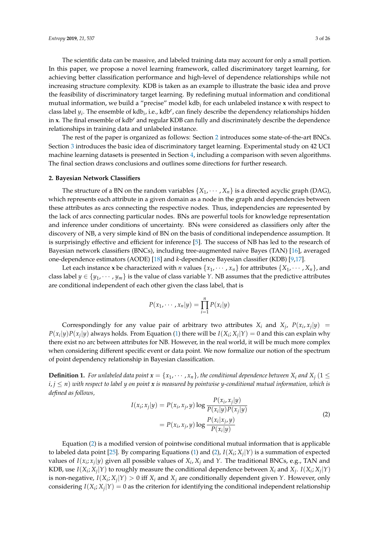The scientific data can be massive, and labeled training data may account for only a small portion. In this paper, we propose a novel learning framework, called discriminatory target learning, for achieving better classification performance and high-level of dependence relationships while not increasing structure complexity. KDB is taken as an example to illustrate the basic idea and prove the feasibility of discriminatory target learning. By redefining mutual information and conditional mutual information, we build a "precise" model kdb*<sup>i</sup>* for each unlabeled instance **x** with respect to class label *y<sup>i</sup>* . The ensemble of kdb*<sup>i</sup>* , i.e., kdb*<sup>e</sup>* , can finely describe the dependency relationships hidden in **x**. The final ensemble of kdb*<sup>e</sup>* and regular KDB can fully and discriminately describe the dependence relationships in training data and unlabeled instance.

The rest of the paper is organized as follows: Section [2](#page-2-0) introduces some state-of-the-art BNCs. Section [3](#page-4-0) introduces the basic idea of discriminatory target learning. Experimental study on 42 UCI machine learning datasets is presented in Section [4,](#page-8-0) including a comparison with seven algorithms. The final section draws conclusions and outlines some directions for further research.

## <span id="page-2-0"></span>**2. Bayesian Network Classifiers**

The structure of a BN on the random variables  $\{X_1, \dots, X_n\}$  is a directed acyclic graph (DAG), which represents each attribute in a given domain as a node in the graph and dependencies between these attributes as arcs connecting the respective nodes. Thus, independencies are represented by the lack of arcs connecting particular nodes. BNs are powerful tools for knowledge representation and inference under conditions of uncertainty. BNs were considered as classifiers only after the discovery of NB, a very simple kind of BN on the basis of conditional independence assumption. It is surprisingly effective and efficient for inference [\[5\]](#page-24-0). The success of NB has led to the research of Bayesian network classifiers (BNCs), including tree-augmented naive Bayes (TAN) [\[16\]](#page-24-10), averaged one-dependence estimators (AODE) [\[18\]](#page-24-16) and *k*-dependence Bayesian classifier (KDB) [\[9,](#page-24-4)[17\]](#page-24-17).

Let each instance **x** be characterized with *n* values  $\{x_1, \dots, x_n\}$  for attributes  $\{X_1, \dots, X_n\}$ , and class label  $y \in \{y_1, \dots, y_m\}$  is the value of class variable *Y*. NB assumes that the predictive attributes are conditional independent of each other given the class label, that is

$$
P(x_1, \cdots, x_n | y) = \prod_{i=1}^n P(x_i | y)
$$

Correspondingly for any value pair of arbitrary two attributes  $X_i$  and  $X_j$ ,  $P(x_i, x_j|y)$  =  $P(x_i|y)P(x_j|y)$  always holds. From Equation [\(1\)](#page-1-1) there will be  $I(X_i; X_j|Y) = 0$  and this can explain why there exist no arc between attributes for NB. However, in the real world, it will be much more complex when considering different specific event or data point. We now formalize our notion of the spectrum of point dependency relationship in Bayesian classification.

**Definition 1.** For unlabeled data point  $x = \{x_1, \dots, x_n\}$ , the conditional dependence between  $X_i$  and  $X_i$  (1  $\leq$  $i, j \leq n$ ) with respect to label y on point x is measured by pointwise y-conditional mutual information, which is *defined as follows,* |*y*)

<span id="page-2-1"></span>
$$
I(x_i; x_j | y) = P(x_i, x_j, y) \log \frac{P(x_i, x_j | y)}{P(x_i | y) P(x_j | y)}
$$
  
= 
$$
P(x_i, x_j, y) \log \frac{P(x_i | x_j, y)}{P(x_i | y)}
$$
 (2)

Equation [\(2\)](#page-2-1) is a modified version of pointwise conditional mutual information that is applicable to labeled data point [\[25\]](#page-24-18). By comparing Equations [\(1\)](#page-1-1) and [\(2\)](#page-2-1),  $I(X_i; X_j | Y)$  is a summation of expected values of  $I(x_i; x_j | y)$  given all possible values of  $X_i$ ,  $X_j$  and Y. The traditional BNCs, e.g., TAN and KDB, use  $I(X_i; X_j | Y)$  to roughly measure the conditional dependence between  $X_i$  and  $X_j$ .  $I(X_i; X_j | Y)$ is non-negative,  $I(X_i; X_j | Y) > 0$  iff  $X_i$  and  $X_j$  are conditionally dependent given *Y*. However, only considering  $I(X_i; X_j | Y) = 0$  as the criterion for identifying the conditional independent relationship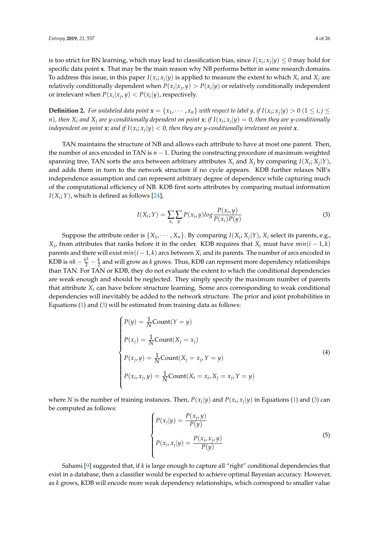is too strict for BN learning, which may lead to classification bias, since  $I(x_i; x_j | y) \leq 0$  may hold for specific data point **x**. That may be the main reason why NB performs better in some research domains. To address this issue, in this paper  $I(x_i; x_j | y)$  is applied to measure the extent to which  $X_i$  and  $X_j$  are relatively conditionally dependent when  $P(x_i|x_j, y) > P(x_i|y)$  or relatively conditionally independent or irrelevant when  $P(x_i|x_j, y) < P(x_i|y)$ , respectively.

**Definition 2.** For unlabeled data point  $x = \{x_1, \cdots, x_n\}$  with respect to label y, if  $I(x_i; x_j | y) > 0$   $(1 \leq i, j \leq n)$ n), then  $X_i$  and  $X_j$  are y-conditionally dependent on point  $x$ ; if  $I(x_i; x_j | y) = 0$ , then they are y-conditionally independent on point  $x$ ; and if  $I(x_i; x_j | y) < 0$ , then they are y-conditionally irrelevant on point  $x$ .

TAN maintains the structure of NB and allows each attribute to have at most one parent. Then, the number of arcs encoded in TAN is *n* − 1. During the constructing procedure of maximum weighted spanning tree, TAN sorts the arcs between arbitrary attributes  $X_i$  and  $X_j$  by comparing  $I(X_i; X_j | Y)$ , and adds them in turn to the network structure if no cycle appears. KDB further relaxes NB's independence assumption and can represent arbitrary degree of dependence while capturing much of the computational efficiency of NB. KDB first sorts attributes by comparing mutual information  $I(X_i; Y)$ , which is defined as follows [\[24\]](#page-24-15),

<span id="page-3-0"></span>
$$
I(X_i;Y) = \sum_{x_i} \sum_{y} P(x_i, y) \log \frac{P(x_i, y)}{P(x_i)P(y)}
$$
(3)

Suppose the attribute order is  $\{X_1, \cdots, X_n\}$ . By comparing  $I(X_i; X_j | Y)$ ,  $X_i$  select its parents, e.g., *X*<sup>*j*</sup>, from attributes that ranks before it in the order. KDB requires that *X*<sup>*i*</sup> must have *min*(*i* − 1, *k*) parents and there will exist  $min(i - 1, k)$  arcs between  $X_i$  and its parents. The number of arcs encoded in KDB is  $nk - \frac{k^2}{2} - \frac{k}{2}$  and will grow as *k* grows. Thus, KDB can represent more dependency relationships than TAN. For TAN or KDB, they do not evaluate the extent to which the conditional dependencies are weak enough and should be neglected. They simply specify the maximum number of parents that attribute *X<sup>i</sup>* can have before structure learning. Some arcs corresponding to weak conditional dependencies will inevitably be added to the network structure. The prior and joint probabilities in Equations [\(1\)](#page-1-1) and [\(3\)](#page-3-0) will be estimated from training data as follows:

$$
\begin{cases}\nP(y) = \frac{1}{N} \text{Count}(Y = y) \\
P(x_j) = \frac{1}{N} \text{Count}(X_j = x_j) \\
P(x_j, y) = \frac{1}{N} \text{Count}(X_j = x_j, Y = y) \\
P(x_i, x_j, y) = \frac{1}{N} \text{Count}(X_i = x_i, X_j = x_j, Y = y)\n\end{cases}
$$
\n(4)

where *N* is the number of training instances. Then,  $P(x_j|y)$  and  $P(x_i, x_j|y)$  in Equations [\(1\)](#page-1-1) and [\(3\)](#page-3-0) can be computed as follows:

$$
\begin{cases}\nP(x_j|y) = \frac{P(x_j, y)}{P(y)} \\
P(x_i, x_j|y) = \frac{P(x_i, x_j, y)}{P(y)}\n\end{cases}
$$
\n(5)

Sahami [\[9\]](#page-24-4) suggested that, if *k* is large enough to capture all "right" conditional dependencies that exist in a database, then a classifier would be expected to achieve optimal Bayesian accuracy. However, as *k* grows, KDB will encode more weak dependency relationships, which correspond to smaller value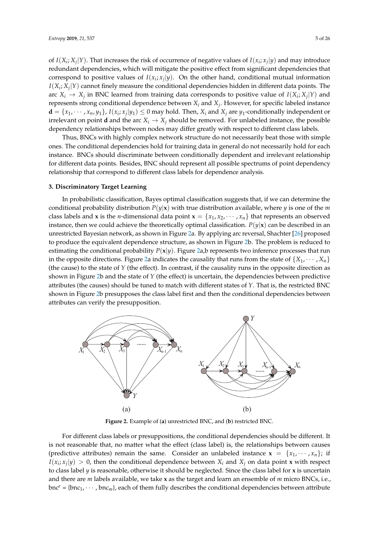of  $I(X_i; X_j | Y)$ . That increases the risk of occurrence of negative values of  $I(x_i; x_j | y)$  and may introduce redundant dependencies, which will mitigate the positive effect from significant dependencies that correspond to positive values of  $I(x_i; x_j | y)$ . On the other hand, conditional mutual information  $I(X_i; X_j|Y)$  cannot finely measure the conditional dependencies hidden in different data points. The arc  $X_i \rightarrow X_j$  in BNC learned from training data corresponds to positive value of  $I(X_i; X_j | Y)$  and represents strong conditional dependence between *X<sup>i</sup>* and *X<sup>j</sup>* . However, for specific labeled instance  $d = \{x_1, \dots, x_n, y_1\}$ ,  $I(x_i; x_j | y_1) \leq 0$  may hold. Then,  $X_i$  and  $X_j$  are  $y_1$ -conditionally independent or irrelevant on point **d** and the arc  $X_i \rightarrow X_j$  should be removed. For unlabeled instance, the possible dependency relationships between nodes may differ greatly with respect to different class labels.

Thus, BNCs with highly complex network structure do not necessarily beat those with simple ones. The conditional dependencies hold for training data in general do not necessarily hold for each instance. BNCs should discriminate between conditionally dependent and irrelevant relationship for different data points. Besides, BNC should represent all possible spectrums of point dependency relationship that correspond to different class labels for dependence analysis.

# <span id="page-4-0"></span>**3. Discriminatory Target Learning**

In probabilistic classification, Bayes optimal classification suggests that, if we can determine the conditional probability distribution  $P(y|\mathbf{x})$  with true distribution available, where *y* is one of the *m* class labels and **x** is the *n*-dimensional data point  $\mathbf{x} = \{x_1, x_2, \dots, x_n\}$  that represents an observed instance, then we could achieve the theoretically optimal classification.  $P(y|\mathbf{x})$  can be described in an unrestricted Bayesian network, as shown in Figure [2a](#page-4-1). By applying arc reversal, Shachter [\[26\]](#page-24-19) proposed to produce the equivalent dependence structure, as shown in Figure [2b](#page-4-1). The problem is reduced to estimating the conditional probability  $P(x|y)$ . Figure [2a](#page-4-1),b represents two inference processes that run in the opposite directions. Figure [2a](#page-4-1) indicates the causality that runs from the state of  $\{X_1, \dots, X_n\}$ (the cause) to the state of *Y* (the effect). In contrast, if the causality runs in the opposite direction as shown in Figure [2b](#page-4-1) and the state of *Y* (the effect) is uncertain, the dependencies between predictive attributes (the causes) should be tuned to match with different states of *Y*. That is, the restricted BNC shown in Figure [2b](#page-4-1) presupposes the class label first and then the conditional dependencies between attributes can verify the presupposition.

<span id="page-4-1"></span>

**Figure 2.** Example of (**a**) unrestricted BNC, and (**b**) restricted BNC.

For different class labels or presuppositions, the conditional dependencies should be different. It is not reasonable that, no matter what the effect (class label) is, the relationships between causes (predictive attributes) remain the same. Consider an unlabeled instance  $\mathbf{x} = \{x_1, \dots, x_n\}$ ; if  $I(x_i; x_j | y) > 0$ , then the conditional dependence between  $X_i$  and  $X_j$  on data point **x** with respect to class label *y* is reasonable, otherwise it should be neglected. Since the class label for **x** is uncertain and there are *m* labels available, we take **x** as the target and learn an ensemble of *m* micro BNCs, i.e.,  $bnc<sup>e</sup> = {bnc<sub>1</sub>, ..., bnc<sub>m</sub>},$  each of them fully describes the conditional dependencies between attribute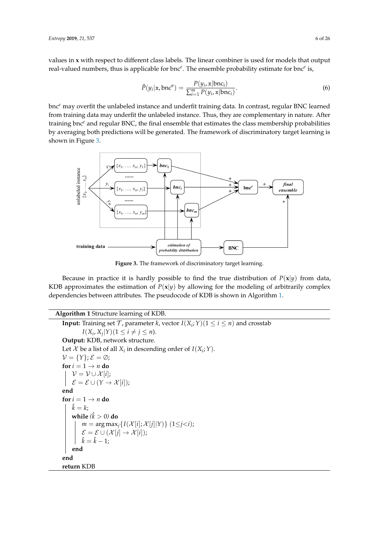values in **x** with respect to different class labels. The linear combiner is used for models that output real-valued numbers, thus is applicable for bnc*<sup>e</sup>* . The ensemble probability estimate for bnc*<sup>e</sup>* is,

$$
\hat{P}(y_i|\mathbf{x}, \text{bnc}^{\text{e}}) = \frac{P(y_i, \mathbf{x}|\text{bnc}_i)}{\sum_{i=1}^{m} P(y_i, \mathbf{x}|\text{bnc}_i)}.
$$
\n(6)

bnc*<sup>e</sup>* may overfit the unlabeled instance and underfit training data. In contrast, regular BNC learned from training data may underfit the unlabeled instance. Thus, they are complementary in nature. After training bnc*<sup>e</sup>* and regular BNC, the final ensemble that estimates the class membership probabilities by averaging both predictions will be generated. The framework of discriminatory target learning is shown in Figure [3.](#page-5-0)

<span id="page-5-0"></span>

**Figure 3.** The framework of discriminatory target learning.

Because in practice it is hardly possible to find the true distribution of  $P(x|y)$  from data, KDB approximates the estimation of  $P(x|y)$  by allowing for the modeling of arbitrarily complex dependencies between attributes. The pseudocode of KDB is shown in Algorithm [1.](#page-5-1)

<span id="page-5-1"></span>**Algorithm 1** Structure learning of KDB. **Input:** Training set  $\mathcal{T}$ , parameter *k*, vector  $I(X_i; Y)(1 \leq i \leq n)$  and crosstab  $I(X_i, X_j | Y)(1 \leq i \neq j \leq n).$ **Output:** KDB, network structure. Let  $X$  be a list of all  $X_i$  in descending order of  $I(X_i; Y)$ .  $V = \{Y\}; \mathcal{E} = \emptyset;$ **for**  $i = 1 \rightarrow n$  **do**  $V = V \cup \mathcal{X}[i];$  $\mathcal{E} = \mathcal{E} \cup (Y \rightarrow \mathcal{X}[i])$ ; **end for**  $i = 1 \rightarrow n$  **do**  $\hat{k} = k$ ; **while** *(* ˆ*k* > 0*)* **do**  $m = \arg \max_j \{ I(\mathcal{X}[i]; \mathcal{X}[j] | Y) \}$  (1≤*j*<*i*);  $\mathcal{E} = \mathcal{E} \cup (\mathcal{X}[j] \rightarrow \mathcal{X}[i])$ ;  $\hat{k} = \hat{k} - 1$ ; **end end return** KDB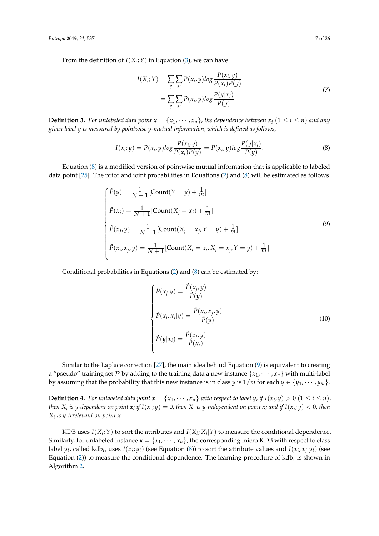From the definition of  $I(X_i;Y)$  in Equation [\(3\)](#page-3-0), we can have

$$
I(X_i; Y) = \sum_{y} \sum_{x_i} P(x_i, y) \log \frac{P(x_i, y)}{P(x_i)P(y)}
$$
  
= 
$$
\sum_{y} \sum_{x_i} P(x_i, y) \log \frac{P(y|x_i)}{P(y)}
$$
 (7)

**Definition 3.** For unlabeled data point  $x = \{x_1, \dots, x_n\}$ , the dependence between  $x_i$   $(1 \le i \le n)$  and any *given label y is measured by pointwise y-mutual information, which is defined as follows,*

<span id="page-6-0"></span>
$$
I(x_i; y) = P(x_i, y) \log \frac{P(x_i, y)}{P(x_i)P(y)} = P(x_i, y) \log \frac{P(y|x_i)}{P(y)}.
$$
\n(8)

Equation [\(8\)](#page-6-0) is a modified version of pointwise mutual information that is applicable to labeled data point [\[25\]](#page-24-18). The prior and joint probabilities in Equations [\(2\)](#page-2-1) and [\(8\)](#page-6-0) will be estimated as follows

<span id="page-6-1"></span>
$$
\begin{cases}\n\hat{P}(y) = \frac{1}{N+1} [\text{Count}(Y = y) + \frac{1}{m}] \\
\hat{P}(x_j) = \frac{1}{N+1} [\text{Count}(X_j = x_j) + \frac{1}{m}] \\
\hat{P}(x_j, y) = \frac{1}{N+1} [\text{Count}(X_j = x_j, Y = y) + \frac{1}{m}] \\
\hat{P}(x_i, x_j, y) = \frac{1}{N+1} [\text{Count}(X_i = x_i, X_j = x_j, Y = y) + \frac{1}{m}] \n\end{cases}
$$
\n(9)

Conditional probabilities in Equations [\(2\)](#page-2-1) and [\(8\)](#page-6-0) can be estimated by:

$$
\begin{cases}\n\hat{P}(x_j|y) = \frac{\hat{P}(x_j, y)}{\hat{P}(y)} \\
\hat{P}(x_i, x_j|y) = \frac{\hat{P}(x_i, x_j, y)}{\hat{P}(y)} \\
\hat{P}(y|x_i) = \frac{\hat{P}(x_i, y)}{\hat{P}(x_i)}\n\end{cases}
$$
\n(10)

Similar to the Laplace correction [\[27\]](#page-24-20), the main idea behind Equation [\(9\)](#page-6-1) is equivalent to creating a "pseudo" training set P by adding to the training data a new instance  $\{x_1, \dots, x_n\}$  with multi-label by assuming that the probability that this new instance is in class *y* is  $1/m$  for each  $y \in \{y_1, \dots, y_m\}$ .

**Definition 4.** For unlabeled data point  $x = \{x_1, \dots, x_n\}$  with respect to label y, if  $I(x_i; y) > 0$   $(1 \le i \le n)$ , then  $X_i$  is y-dependent on point  $x$ ; if  $I(x_i,y)=0$ , then  $X_i$  is y-independent on point  $x$ ; and if  $I(x_i;y)<0$ , then *Xi is y-irrelevant on point x.*

KDB uses  $I(X_i; Y)$  to sort the attributes and  $I(X_i; X_j | Y)$  to measure the conditional dependence. Similarly, for unlabeled instance  $\mathbf{x} = \{x_1, \dots, x_n\}$ , the corresponding micro KDB with respect to class label  $y_t$ , called kdb<sub>t</sub>, uses  $I(x_i; y_t)$  (see Equation [\(8\)](#page-6-0)) to sort the attribute values and  $I(x_i; x_j|y_t)$  (see Equation [\(2\)](#page-2-1)) to measure the conditional dependence. The learning procedure of  $kdb_t$  is shown in Algorithm [2.](#page-7-0)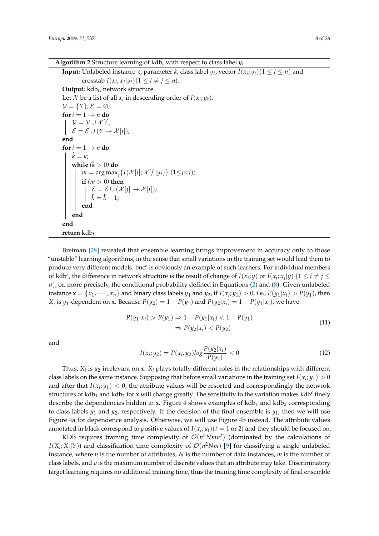**Algorithm 2** Structure learning of kdb $_t$  with respect to class label  $y_t$ .

<span id="page-7-0"></span>**Input:** Unlabeled instance  $t$ , parameter  $k$ , class label  $y_t$ , vector  $I(x_i; y_t) (1 \leq i \leq n)$  and crosstab  $I(x_i, x_j | y_t) (1 \le i \ne j \le n)$ . **Output:** kdb*t* , network structure. Let  $\mathcal X$  be a list of all  $x_i$  in descending order of  $I(x_i; y_t)$ .  $V = \{Y\}; \mathcal{E} = \emptyset;$ **for**  $i = 1 \rightarrow n$  **do**  $V = V \cup \mathcal{X}[i];$  $\mathcal{E} = \mathcal{E} \cup (Y \rightarrow \mathcal{X}[i])$ ; **end for**  $i = 1 \rightarrow n$  **do**  $\hat{k} = k$ ; **while** *(* ˆ*k* > 0*)* **do**  $m = \arg \max_j \{ I(\mathcal{X}[i]; \mathcal{X}[j]|y_t) \}$  (1≤*j*<*i*); **if**  $(m > 0)$  **then**  $\mathcal{E} = \mathcal{E} \cup (\mathcal{X}[j] \to \mathcal{X}[i]);$  $\hat{k} = \hat{k} - 1;$ **end end end return** kdb*t*

Breiman [\[28\]](#page-24-21) revealed that ensemble learning brings improvement in accuracy only to those "unstable" learning algorithms, in the sense that small variations in the training set would lead them to produce very different models. bnc<sup>e</sup> is obviously an example of such learners. For individual members of kdb<sup>*e*</sup>, the difference in network structure is the result of change of  $I(x_i; y)$  or  $I(x_i; x_j | y)$   $(1 \le i \ne j \le n)$ *n*), or, more precisely, the conditional probability defined in Equations [\(2\)](#page-2-1) and [\(8\)](#page-6-0). Given unlabeled instance  $\mathbf{x} = \{x_1, \dots, x_n\}$  and binary class labels  $y_1$  and  $y_2$ , if  $I(x_i; y_1) > 0$ , i.e.,  $P(y_1|x_i) > P(y_1)$ , then *X*<sub>i</sub> is *y*<sub>1</sub>-dependent on **x**. Because  $P(y_2) = 1 - P(y_1)$  and  $P(y_2|x_i) = 1 - P(y_1|x_i)$ , we have

$$
P(y_1|x_i) > P(y_1) \Rightarrow 1 - P(y_1|x_i) < 1 - P(y_1) \Rightarrow P(y_2|x_i) < P(y_2)
$$
\n(11)

and

$$
I(x_i; y_2) = P(x_i, y_2) \log \frac{P(y_2 | x_i)}{P(y_2)} < 0 \tag{12}
$$

Thus,  $X_i$  is  $y_2$ -irrelevant on  $\mathbf{x}$ .  $X_i$  plays totally different roles in the relationships with different class labels on the same instance. Supposing that before small variations in the training set  $I(x_i; y_1) > 0$ and after that  $I(x_i; y_1) < 0$ , the attribute values will be resorted and correspondingly the network structures of kdb<sub>1</sub> and kdb<sub>2</sub> for **x** will change greatly. The sensitivity to the variation makes kdb<sup>*e*</sup> finely describe the dependencies hidden in **x**. Figure [4](#page-8-1) shows examples of kdb<sub>1</sub> and kdb<sub>2</sub> corresponding to class labels  $y_1$  and  $y_2$ , respectively. If the decision of the final ensemble is  $y_1$ , then we will use Figure [4a](#page-8-1) for dependence analysis. Otherwise, we will use Figure [4b](#page-8-1) instead. The attribute values annotated in black correspond to positive values of  $I(x_i; y_t)$  ( $t = 1$  or 2) and they should be focused on.

KDB requires training time complexity of  $\mathcal{O}(n^2 Nmv^2)$  (dominated by the calculations of *I*( $X_i$ ;  $X_j$ | $Y$ )) and classification time complexity of  $\mathcal{O}(n^2Nm)$  [\[9\]](#page-24-4) for classifying a single unlabeled instance, where *n* is the number of attributes, *N* is the number of data instances, *m* is the number of class labels, and *v* is the maximum number of discrete values that an attribute may take. Discriminatory target learning requires no additional training time, thus the training time complexity of final ensemble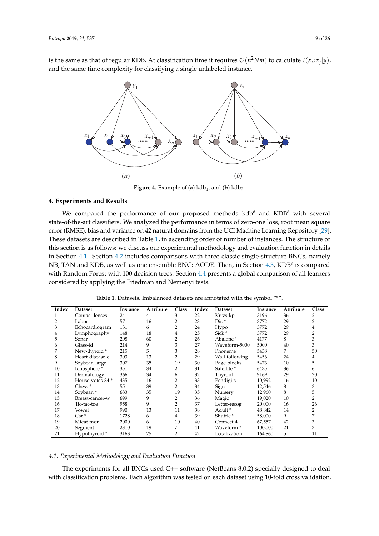<span id="page-8-1"></span>is the same as that of regular KDB. At classification time it requires  $\mathcal{O}(n^2Nm)$  to calculate  $I(x_i; x_j|y)$ , and the same time complexity for classifying a single unlabeled instance.



**Figure 4.** Example of (**a**)  $kdb_1$ , and (**b**)  $kdb_2$ .

## <span id="page-8-0"></span>**4. Experiments and Results**

We compared the performance of our proposed methods kdb*<sup>e</sup>* and KDB*<sup>e</sup>* with several state-of-the-art classifiers. We analyzed the performance in terms of zero-one loss, root mean square error (RMSE), bias and variance on 42 natural domains from the UCI Machine Learning Repository [\[29\]](#page-24-22). These datasets are described in Table [1,](#page-8-2) in ascending order of number of instances. The structure of this section is as follows: we discuss our experimental methodology and evaluation function in details in Section [4.1.](#page-8-3) Section [4.2](#page-9-0) includes comparisons with three classic single-structure BNCs, namely NB, TAN and KDB, as well as one ensemble BNC: AODE. Then, in Section [4.3,](#page-12-0) KDB<sup>e</sup> is compared with Random Forest with 100 decision trees. Section [4.4](#page-16-0) presents a global comparison of all learners considered by applying the Friedman and Nemenyi tests.

<span id="page-8-2"></span>

| Index | <b>Dataset</b>       | Instance | Attribute | Class          | Index | Dataset                | Instance | Attribute | Class          |
|-------|----------------------|----------|-----------|----------------|-------|------------------------|----------|-----------|----------------|
|       | Contact-lenses       | 24       | 4         | 3              | 22    | Kr-vs-kp               | 3196     | 36        | 2              |
| 2     | Labor                | 57       | 16        | $\overline{2}$ | 23    | $Dis$ *                | 3772     | 29        | 2              |
| 3     | Echocardiogram       | 131      | 6         | 2              | 24    | Hypo                   | 3772     | 29        | 4              |
| 4     | Lymphography         | 148      | 18        | $\overline{4}$ | 25    | Sick <sup>*</sup>      | 3772     | 29        | 2              |
| 5     | Sonar                | 208      | 60        | $\overline{2}$ | 26    | Abalone <sup>*</sup>   | 4177     | 8         | 3              |
| 6     | Glass-id             | 214      | 9         | 3              | 27    | Waveform-5000          | 5000     | 40        | 3              |
| 7     | New-thyroid *        | 215      | 5         | 3              | 28    | Phoneme                | 5438     | 7         | 50             |
| 8     | Heart-disease-c      | 303      | 13        | $\overline{2}$ | 29    | Wall-following         | 5456     | 24        | 4              |
| 9     | Soybean-large        | 307      | 35        | 19             | 30    | Page-blocks            | 5473     | 10        | 5              |
| 10    | Ionosphere*          | 351      | 34        | 2              | 31    | Satellite <sup>*</sup> | 6435     | 36        | 6              |
| 11    | Dermatology          | 366      | 34        | 6              | 32    | Thyroid                | 9169     | 29        | 20             |
| 12    | House-votes-84 *     | 435      | 16        | 2              | 33    | Pendigits              | 10,992   | 16        | 10             |
| 13    | Chess <sup>*</sup>   | 551      | 39        | $\overline{2}$ | 34    | Sign                   | 12,546   | 8         | 3              |
| 14    | Sovbean <sup>*</sup> | 683      | 35        | 19             | 35    | Nursery                | 12,960   | 8         | 5              |
| 15    | Breast-cancer-w      | 699      | 9         | $\overline{2}$ | 36    | Magic                  | 19,020   | 10        | $\overline{2}$ |
| 16    | Tic-tac-toe          | 958      | 9         | 2              | 37    | Letter-recog           | 20,000   | 16        | 26             |
| 17    | Vowel                | 990      | 13        | 11             | 38    | Adult *                | 48,842   | 14        | 2              |
| 18    | $Car*$               | 1728     | 6         | 4              | 39    | Shuttle <sup>*</sup>   | 58,000   | 9         | 7              |
| 19    | Mfeat-mor            | 2000     | 6         | 10             | 40    | Connect-4              | 67,557   | 42        | 3              |
| 20    | Segment              | 2310     | 19        | 7              | 41    | Waveform *             | 100,000  | 21        | 3              |
| 21    | Hypothyroid *        | 3163     | 25        | 2              | 42    | Localization           | 164,860  | 5         | 11             |

**Table 1.** Datasets. Imbalanced datasets are annotated with the symbol "\*".

# <span id="page-8-3"></span>*4.1. Experimental Methodology and Evaluation Function*

The experiments for all BNCs used C++ software (NetBeans 8.0.2) specially designed to deal with classification problems. Each algorithm was tested on each dataset using 10-fold cross validation.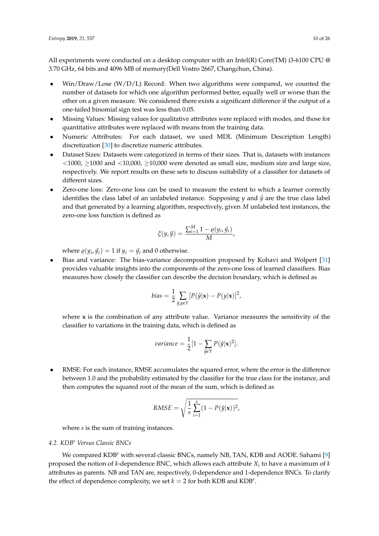All experiments were conducted on a desktop computer with an Intel(R) Core(TM) i3-6100 CPU  $\omega$ 3.70 GHz, 64 bits and 4096 MB of memory(Dell Vostro 2667, Changchun, China).

- $\frac{\text{Win}}{\text{Draw}}$  Lose  $\frac{\text{W}}{\text{D}}$ , Record: When two algorithms were compared, we counted the number of datasets for which one algorithm performed better, equally well or worse than the other on a given measure. We considered there exists a significant difference if the output of a one-tailed binomial sign test was less than 0.05.
- Missing Values: Missing values for qualitative attributes were replaced with modes, and those for quantitative attributes were replaced with means from the training data.
- Numeric Attributes: For each dataset, we used MDL (Minimum Description Length) discretization [\[30\]](#page-24-23) to discretize numeric attributes.
- Dataset Sizes: Datasets were categorized in terms of their sizes. That is, datasets with instances  $<$ 1000,  $\ge$ 1000 and  $<$ 10,000,  $\ge$ 10,000 were denoted as small size, medium size and large size, respectively. We report results on these sets to discuss suitability of a classifier for datasets of different sizes.
- Zero-one loss: Zero-one loss can be used to measure the extent to which a learner correctly identifies the class label of an unlabeled instance. Supposing  $\psi$  and  $\hat{\psi}$  are the true class label and that generated by a learning algorithm, respectively, given *M* unlabeled test instances, the zero-one loss function is defined as

$$
\xi(y,\hat{y}) = \frac{\sum_{i=1}^{M} 1 - \varrho(y_i, \hat{y}_i)}{M},
$$

where  $\varrho(y_i, \hat{y}_i) = 1$  if  $y_i = \hat{y}_i$  and 0 otherwise.

Bias and variance: The bias-variance decomposition proposed by Kohavi and Wolpert [\[31\]](#page-24-24) provides valuable insights into the components of the zero-one loss of learned classifiers. Bias measures how closely the classifier can describe the decision boundary, which is defined as

$$
bias = \frac{1}{2} \sum_{\hat{y}, y \in Y} [P(\hat{y}|\mathbf{x}) - P(y|\mathbf{x})]^2,
$$

where **x** is the combination of any attribute value. Variance measures the sensitivity of the classifier to variations in the training data, which is defined as

*variance* = 
$$
\frac{1}{2}[1 - \sum_{\hat{y} \in Y} P(\hat{y}|\mathbf{x})^2].
$$

RMSE: For each instance, RMSE accumulates the squared error, where the error is the difference between 1.0 and the probability estimated by the classifier for the true class for the instance, and then computes the squared root of the mean of the sum, which is defined as

RMSE = 
$$
\sqrt{\frac{1}{s} \sum_{i=1}^{s} (1 - P(\hat{y}|\mathbf{x}))^2}
$$
,

where *s* is the sum of training instances.

# <span id="page-9-0"></span>*4.2. KDB<sup>e</sup> Versus Classic BNCs*

We compared KDB*<sup>e</sup>* with several classic BNCs, namely NB, TAN, KDB and AODE. Sahami [\[9\]](#page-24-4) proposed the notion of *k*-dependence BNC, which allows each attribute *X<sup>i</sup>* to have a maximum of *k* attributes as parents. NB and TAN are, respectively, 0-dependence and 1-dependence BNCs. To clarify the effect of dependence complexity, we set  $k = 2$  for both KDB and KDB<sup>e</sup>.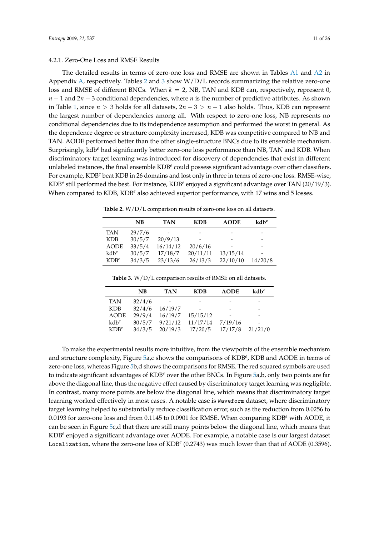The detailed results in terms of zero-one loss and RMSE are shown in Tables [A1](#page-19-0) and [A2](#page-20-0) in Appendix [A,](#page-18-0) respectively. Tables [2](#page-10-0) and [3](#page-10-1) show W/D/L records summarizing the relative zero-one loss and RMSE of different BNCs. When *k* = 2, NB, TAN and KDB can, respectively, represent 0, *n* − 1 and 2*n* − 3 conditional dependencies, where *n* is the number of predictive attributes. As shown in Table [1,](#page-8-2) since *n* > 3 holds for all datasets, 2*n* − 3 > *n* − 1 also holds. Thus, KDB can represent the largest number of dependencies among all. With respect to zero-one loss, NB represents no conditional dependencies due to its independence assumption and performed the worst in general. As the dependence degree or structure complexity increased, KDB was competitive compared to NB and TAN. AODE performed better than the other single-structure BNCs due to its ensemble mechanism. Surprisingly, kdb*<sup>e</sup>* had significantly better zero-one loss performance than NB, TAN and KDB. When discriminatory target learning was introduced for discovery of dependencies that exist in different unlabeled instances, the final ensemble KDB<sup>e</sup> could possess significant advantage over other classifiers. For example, KDB*<sup>e</sup>* beat KDB in 26 domains and lost only in three in terms of zero-one loss. RMSE-wise, KDB*<sup>e</sup>* still performed the best. For instance, KDB*<sup>e</sup>* enjoyed a significant advantage over TAN (20/19/3). When compared to KDB, KDB<sup>e</sup> also achieved superior performance, with 17 wins and 5 losses.

<span id="page-10-0"></span>**Table 2.** W/D/L comparison results of zero-one loss on all datasets.

|             | NB     | <b>TAN</b> | <b>KDB</b> | <b>AODE</b>              | $kdb^e$ |
|-------------|--------|------------|------------|--------------------------|---------|
| <b>TAN</b>  | 29/7/6 |            |            |                          |         |
| <b>KDB</b>  | 30/5/7 | 20/9/13    |            | $\overline{\phantom{0}}$ |         |
| <b>AODE</b> | 33/5/4 | 16/14/12   | 20/6/16    |                          |         |
| $kd b^e$    | 30/5/7 | 17/18/7    | 20/11/11   | 13/15/14                 |         |
| $KDB^e$     | 34/3/5 | 23/13/6    | 26/13/3    | 22/10/10                 | 14/20/8 |

**Table 3.** W/D/L comparison results of RMSE on all datasets.

<span id="page-10-1"></span>

|             | NB     | <b>TAN</b> | <b>KDB</b> | <b>AODE</b> | $kdb^e$ |
|-------------|--------|------------|------------|-------------|---------|
| <b>TAN</b>  | 32/4/6 |            |            |             |         |
| <b>KDB</b>  | 32/4/6 | 16/19/7    |            |             |         |
| <b>AODE</b> | 29/9/4 | 16/19/7    | 15/15/12   |             |         |
| $kd b^e$    | 30/5/7 | 9/21/12    | 11/17/14   | 7/19/16     |         |
| $KDB^e$     | 34/3/5 | 20/19/3    | 17/20/5    | 17/17/8     | 21/21/0 |

To make the experimental results more intuitive, from the viewpoints of the ensemble mechanism and structure complexity, Figure [5a](#page-11-0),c shows the comparisons of KDB*<sup>e</sup>* , KDB and AODE in terms of zero-one loss, whereas Figure [5b](#page-11-0),d shows the comparisons for RMSE. The red squared symbols are used to indicate significant advantages of KDB*<sup>e</sup>* over the other BNCs. In Figure [5a](#page-11-0),b, only two points are far above the diagonal line, thus the negative effect caused by discriminatory target learning was negligible. In contrast, many more points are below the diagonal line, which means that discriminatory target learning worked effectively in most cases. A notable case is Waveform dataset, where discriminatory target learning helped to substantially reduce classification error, such as the reduction from 0.0256 to 0.0193 for zero-one loss and from 0.1145 to 0.0901 for RMSE. When comparing KDB*<sup>e</sup>* with AODE, it can be seen in Figure [5c](#page-11-0),d that there are still many points below the diagonal line, which means that KDB*<sup>e</sup>* enjoyed a significant advantage over AODE. For example, a notable case is our largest dataset Localization, where the zero-one loss of KDB<sup>e</sup> (0.2743) was much lower than that of AODE (0.3596).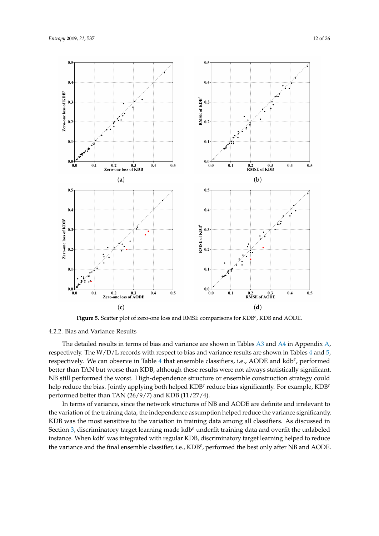<span id="page-11-0"></span>

**Figure 5.** Scatter plot of zero-one loss and RMSE comparisons for KDB*<sup>e</sup>* , KDB and AODE.

# 4.2.2. Bias and Variance Results

The detailed results in terms of bias and variance are shown in Tables [A3](#page-21-0) and [A4](#page-22-0) in Appendix [A,](#page-18-0) respectively. The W/D/L records with respect to bias and variance results are shown in Tables [4](#page-12-1) and [5,](#page-12-2) respectively. We can observe in Table [4](#page-12-1) that ensemble classifiers, i.e., AODE and kdb<sup>e</sup>, performed better than TAN but worse than KDB, although these results were not always statistically significant. NB still performed the worst. High-dependence structure or ensemble construction strategy could help reduce the bias. Jointly applying both helped KDB*<sup>e</sup>* reduce bias significantly. For example, KDB*<sup>e</sup>* performed better than TAN (26/9/7) and KDB (11/27/4).

In terms of variance, since the network structures of NB and AODE are definite and irrelevant to the variation of the training data, the independence assumption helped reduce the variance significantly. KDB was the most sensitive to the variation in training data among all classifiers. As discussed in Section [3,](#page-4-0) discriminatory target learning made kdb*<sup>e</sup>* underfit training data and overfit the unlabeled instance. When kdb*<sup>e</sup>* was integrated with regular KDB, discriminatory target learning helped to reduce the variance and the final ensemble classifier, i.e., KDB*<sup>e</sup>* , performed the best only after NB and AODE.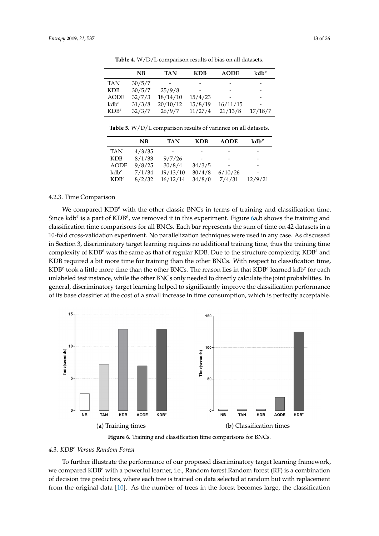<span id="page-12-1"></span>

|             | NB     | <b>TAN</b> | <b>KDB</b> | <b>AODE</b> | $kdb^e$ |
|-------------|--------|------------|------------|-------------|---------|
| <b>TAN</b>  | 30/5/7 |            |            |             |         |
| <b>KDB</b>  | 30/5/7 | 25/9/8     |            |             |         |
| <b>AODE</b> | 32/7/3 | 18/14/10   | 15/4/23    |             |         |
| $kd b^e$    | 31/3/8 | 20/10/12   | 15/8/19    | 16/11/15    |         |
| $KDB^e$     | 32/3/7 | 26/9/7     | 11/27/4    | 21/13/8     | 17/18/7 |

**Table 4.** W/D/L comparison results of bias on all datasets.

<span id="page-12-2"></span>**Table 5.** W/D/L comparison results of variance on all datasets.

|             | NB     | <b>TAN</b> | <b>KDB</b> | <b>AODE</b> | $kdb^e$ |
|-------------|--------|------------|------------|-------------|---------|
| <b>TAN</b>  | 4/3/35 |            |            |             |         |
| <b>KDB</b>  | 8/1/33 | 9/7/26     |            |             |         |
| <b>AODE</b> | 9/8/25 | 30/8/4     | 34/3/5     |             |         |
| $kdb^e$     | 7/1/34 | 19/13/10   | 30/4/8     | 6/10/26     |         |
| $KDB^e$     | 8/2/32 | 16/12/14   | 34/8/0     | 7/4/31      | 12/9/21 |

#### 4.2.3. Time Comparison

We compared KDB<sup>e</sup> with the other classic BNCs in terms of training and classification time. Since kdb<sup>e</sup> is a part of KDB<sup>e</sup>, we removed it in this experiment. Figure [6a](#page-12-3),b shows the training and classification time comparisons for all BNCs. Each bar represents the sum of time on 42 datasets in a 10-fold cross-validation experiment. No parallelization techniques were used in any case. As discussed in Section 3, discriminatory target learning requires no additional training time, thus the training time complexity of KDB*<sup>e</sup>* was the same as that of regular KDB. Due to the structure complexity, KDB*<sup>e</sup>* and KDB required a bit more time for training than the other BNCs. With respect to classification time, KDB*<sup>e</sup>* took a little more time than the other BNCs. The reason lies in that KDB*<sup>e</sup>* learned kdb*<sup>e</sup>* for each unlabeled test instance, while the other BNCs only needed to directly calculate the joint probabilities. In general, discriminatory target learning helped to significantly improve the classification performance of its base classifier at the cost of a small increase in time consumption, which is perfectly acceptable.

<span id="page-12-3"></span>

**Figure 6.** Training and classification time comparisons for BNCs.

#### <span id="page-12-0"></span>*4.3. KDB<sup>e</sup> Versus Random Forest*

To further illustrate the performance of our proposed discriminatory target learning framework, we compared KDB*<sup>e</sup>* with a powerful learner, i.e., Random forest.Random forest (RF) is a combination of decision tree predictors, where each tree is trained on data selected at random but with replacement from the original data [\[10\]](#page-24-5). As the number of trees in the forest becomes large, the classification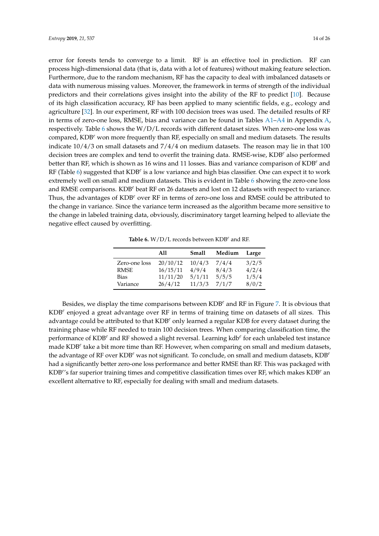error for forests tends to converge to a limit. RF is an effective tool in prediction. RF can process high-dimensional data (that is, data with a lot of features) without making feature selection. Furthermore, due to the random mechanism, RF has the capacity to deal with imbalanced datasets or data with numerous missing values. Moreover, the framework in terms of strength of the individual predictors and their correlations gives insight into the ability of the RF to predict [\[10\]](#page-24-5). Because of its high classification accuracy, RF has been applied to many scientific fields, e.g., ecology and agriculture [\[32\]](#page-24-25). In our experiment, RF with 100 decision trees was used. The detailed results of RF in terms of zero-one loss, RMSE, bias and variance can be found in Tables [A1–](#page-19-0)[A4](#page-22-0) in Appendix [A,](#page-18-0) respectively. Table [6](#page-13-0) shows the W/D/L records with different dataset sizes. When zero-one loss was compared, KDB*<sup>e</sup>* won more frequently than RF, especially on small and medium datasets. The results indicate 10/4/3 on small datasets and 7/4/4 on medium datasets. The reason may lie in that 100 decision trees are complex and tend to overfit the training data. RMSE-wise, KDB*<sup>e</sup>* also performed better than RF, which is shown as 16 wins and 11 losses. Bias and variance comparison of KDB*<sup>e</sup>* and RF (Table [6\)](#page-13-0) suggested that KDB<sup>e</sup> is a low variance and high bias classifier. One can expect it to work extremely well on small and medium datasets. This is evident in Table [6](#page-13-0) showing the zero-one loss and RMSE comparisons. KDB*<sup>e</sup>* beat RF on 26 datasets and lost on 12 datasets with respect to variance. Thus, the advantages of KDB*<sup>e</sup>* over RF in terms of zero-one loss and RMSE could be attributed to the change in variance. Since the variance term increased as the algorithm became more sensitive to the change in labeled training data, obviously, discriminatory target learning helped to alleviate the negative effect caused by overfitting.

**Table 6.** W/D/L records between KDB*<sup>e</sup>* and RF.

<span id="page-13-0"></span>

|               | A11      | Small  | Medium | Large |
|---------------|----------|--------|--------|-------|
| Zero-one loss | 20/10/12 | 10/4/3 | 7/4/4  | 3/2/5 |
| <b>RMSE</b>   | 16/15/11 | 4/9/4  | 8/4/3  | 4/2/4 |
| Bias          | 11/11/20 | 5/1/11 | 5/5/5  | 1/5/4 |
| Variance      | 26/4/12  | 11/3/3 | 7/1/7  | 8/0/2 |

Besides, we display the time comparisons between KDB*<sup>e</sup>* and RF in Figure [7.](#page-14-0) It is obvious that KDB*<sup>e</sup>* enjoyed a great advantage over RF in terms of training time on datasets of all sizes. This advantage could be attributed to that KDB*<sup>e</sup>* only learned a regular KDB for every dataset during the training phase while RF needed to train 100 decision trees. When comparing classification time, the performance of KDB*<sup>e</sup>* and RF showed a slight reversal. Learning kdb*<sup>e</sup>* for each unlabeled test instance made KDB*<sup>e</sup>* take a bit more time than RF. However, when comparing on small and medium datasets, the advantage of RF over KDB*<sup>e</sup>* was not significant. To conclude, on small and medium datasets, KDB*<sup>e</sup>* had a significantly better zero-one loss performance and better RMSE than RF. This was packaged with KDB*<sup>e</sup>* 's far superior training times and competitive classification times over RF, which makes KDB*<sup>e</sup>* an excellent alternative to RF, especially for dealing with small and medium datasets.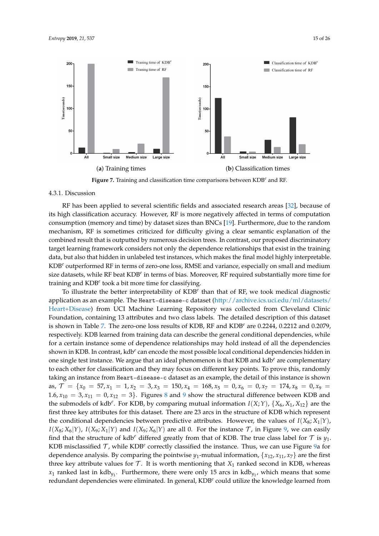<span id="page-14-0"></span>

**Figure 7.** Training and classification time comparisons between KDB*<sup>e</sup>* and RF.

### 4.3.1. Discussion

RF has been applied to several scientific fields and associated research areas [\[32\]](#page-24-25), because of its high classification accuracy. However, RF is more negatively affected in terms of computation consumption (memory and time) by dataset sizes than BNCs [\[19\]](#page-24-26). Furthermore, due to the random mechanism, RF is sometimes criticized for difficulty giving a clear semantic explanation of the combined result that is outputted by numerous decision trees. In contrast, our proposed discriminatory target learning framework considers not only the dependence relationships that exist in the training data, but also that hidden in unlabeled test instances, which makes the final model highly interpretable. KDB*<sup>e</sup>* outperformed RF in terms of zero-one loss, RMSE and variance, especially on small and medium size datasets, while RF beat KDB<sup>e</sup> in terms of bias. Moreover, RF required substantially more time for training and KDB<sup>e</sup> took a bit more time for classifying.

To illustrate the better interpretability of KDB*<sup>e</sup>* than that of RF, we took medical diagnostic application as an example. The Heart-disease-c dataset [\(http://archive.ics.uci.edu/ml/datasets/](http://archive.ics.uci.edu/ml/datasets/Heart+Disease) [Heart+Disease\)](http://archive.ics.uci.edu/ml/datasets/Heart+Disease) from UCI Machine Learning Repository was collected from Cleveland Clinic Foundation, containing 13 attributes and two class labels. The detailed description of this dataset is shown in Table [7.](#page-15-0) The zero-one loss results of KDB, RF and KDB*<sup>e</sup>* are 0.2244, 0.2212 and 0.2079, respectively. KDB learned from training data can describe the general conditional dependencies, while for a certain instance some of dependence relationships may hold instead of all the dependencies shown in KDB. In contrast, kdb<sup>e</sup> can encode the most possible local conditional dependencies hidden in one single test instance. We argue that an ideal phenomenon is that KDB and kdb*<sup>e</sup>* are complementary to each other for classification and they may focus on different key points. To prove this, randomly taking an instance from Heart-disease-c dataset as an example, the detail of this instance is shown as,  $\mathcal{T} = \{x_0 = 57, x_1 = 1, x_2 = 3, x_3 = 150, x_4 = 168, x_5 = 0, x_6 = 0, x_7 = 174, x_8 = 0, x_9 = 0\}$ 1.6,  $x_{10} = 3$ ,  $x_{11} = 0$ ,  $x_{12} = 3$ . Figures [8](#page-15-1) and [9](#page-15-2) show the structural difference between KDB and the submodels of kdb<sup>*e*</sup>. For KDB, by comparing mutual information  $I(X; Y)$ ,  $\{X_6, X_1, X_{12}\}$  are the first three key attributes for this dataset. There are 23 arcs in the structure of KDB which represent the conditional dependencies between predictive attributes. However, the values of  $I(X_8; X_1|Y)$ ,  $I(X_8; X_6|Y)$ ,  $I(X_9; X_1|Y)$  and  $I(X_9; X_6|Y)$  are all 0. For the instance  $\mathcal T$ , in Figure [9,](#page-15-2) we can easily find that the structure of kdb<sup>e</sup> differed greatly from that of KDB. The true class label for  $\mathcal T$  is  $y_1$ . KDB misclassified T, while KDB<sup>e</sup> correctly classified the instance. Thus, we can use Figure [9a](#page-15-2) for dependence analysis. By comparing the pointwise  $y_1$ -mutual information,  $\{x_{12}, x_{11}, x_7\}$  are the first three key attribute values for  $T$ . It is worth mentioning that  $X_1$  ranked second in KDB, whereas  $x_1$  ranked last in kdb<sub>y1</sub>. Furthermore, there were only 15 arcs in kdb<sub>y1</sub>, which means that some redundant dependencies were eliminated. In general, KDB*<sup>e</sup>* could utilize the knowledge learned from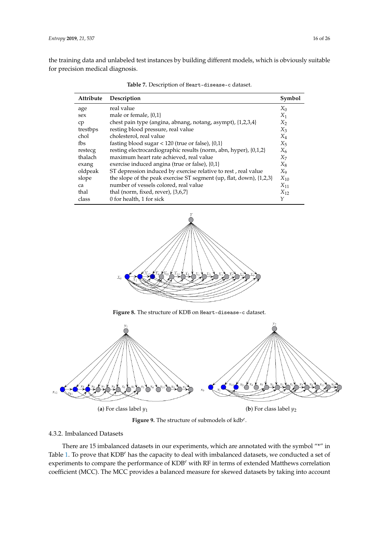<span id="page-15-0"></span>the training data and unlabeled test instances by building different models, which is obviously suitable for precision medical diagnosis.

| Attribute | Description                                                         | Symbol   |
|-----------|---------------------------------------------------------------------|----------|
| age       | real value                                                          | $X_0$    |
| sex       | male or female, $\{0,1\}$                                           | $X_1$    |
| cp        | chest pain type (angina, abnang, notang, asympt), {1,2,3,4}         | $X_2$    |
| trestbps  | resting blood pressure, real value                                  | $X_3$    |
| chol      | cholesterol, real value                                             | $X_4$    |
| fbs       | fasting blood sugar < $120$ (true or false), $\{0,1\}$              | $X_5$    |
| restecg   | resting electrocardiographic results (norm, abn, hyper), {0,1,2}    | $X_6$    |
| thalach   | maximum heart rate achieved, real value                             | $X_7$    |
| exang     | exercise induced angina (true or false), {0,1}                      | X8       |
| oldpeak   | ST depression induced by exercise relative to rest, real value      | X9       |
| slope     | the slope of the peak exercise ST segment (up, flat, down), {1,2,3} | $X_{10}$ |
| ca        | number of vessels colored, real value                               | $X_{11}$ |
| thal      | thal (norm, fixed, rever), $\{3,6,7\}$                              | $X_{12}$ |
| class     | 0 for health, 1 for sick                                            | γ        |

**Table 7.** Description of Heart-disease-c dataset.

<span id="page-15-1"></span>

**Figure 8.** The structure of KDB on Heart-disease-c dataset.

<span id="page-15-2"></span>

**Figure 9.** The structure of submodels of kdb*<sup>e</sup>* .

## 4.3.2. Imbalanced Datasets

There are 15 imbalanced datasets in our experiments, which are annotated with the symbol "\*" in Table [1.](#page-8-2) To prove that KDB*<sup>e</sup>* has the capacity to deal with imbalanced datasets, we conducted a set of experiments to compare the performance of KDB*<sup>e</sup>* with RF in terms of extended Matthews correlation coefficient (MCC). The MCC provides a balanced measure for skewed datasets by taking into account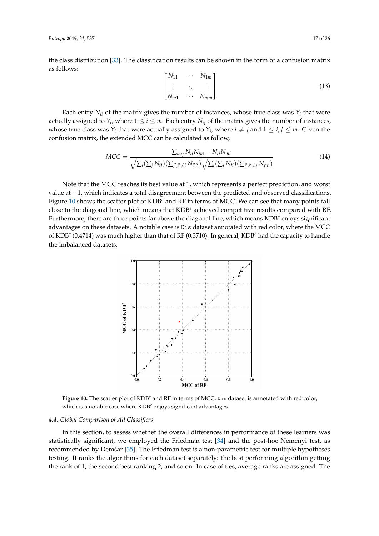the class distribution [\[33\]](#page-24-27). The classification results can be shown in the form of a confusion matrix as follows:

$$
\begin{bmatrix}\nN_{11} & \cdots & N_{1m} \\
\vdots & \ddots & \vdots \\
N_{m1} & \cdots & N_{mm}\n\end{bmatrix}
$$
\n(13)

Each entry  $N_{ii}$  of the matrix gives the number of instances, whose true class was  $Y_i$  that were actually assigned to  $Y_i$ , where  $1 \leq i \leq m$ . Each entry  $N_{ij}$  of the matrix gives the number of instances, whose true class was  $Y_i$  that were actually assigned to  $Y_j$ , where  $i \neq j$  and  $1 \leq i, j \leq m$ . Given the confusion matrix, the extended MCC can be calculated as follow,

$$
MCC = \frac{\sum_{mij} N_{ii} N_{jm} - N_{ij} N_{mi}}{\sqrt{\sum_{i} (\sum_{j} N_{ij}) (\sum_{j',i' \neq i} N_{i'j'})} \sqrt{\sum_{i} (\sum_{j} N_{ji}) (\sum_{j',i' \neq i} N_{j'i'})}}
$$
(14)

Note that the MCC reaches its best value at 1, which represents a perfect prediction, and worst value at −1, which indicates a total disagreement between the predicted and observed classifications. Figure [10](#page-16-1) shows the scatter plot of KDB*<sup>e</sup>* and RF in terms of MCC. We can see that many points fall close to the diagonal line, which means that KDB*<sup>e</sup>* achieved competitive results compared with RF. Furthermore, there are three points far above the diagonal line, which means KDB<sup>e</sup> enjoys significant advantages on these datasets. A notable case is Dis dataset annotated with red color, where the MCC of KDB*<sup>e</sup>* (0.4714) was much higher than that of RF (0.3710). In general, KDB*<sup>e</sup>* had the capacity to handle the imbalanced datasets.

<span id="page-16-1"></span>

**Figure 10.** The scatter plot of KDB*<sup>e</sup>* and RF in terms of MCC. Dis dataset is annotated with red color, which is a notable case where KDB*<sup>e</sup>* enjoys significant advantages.

## <span id="page-16-0"></span>*4.4. Global Comparison of All Classifiers*

In this section, to assess whether the overall differences in performance of these learners was statistically significant, we employed the Friedman test [\[34\]](#page-25-0) and the post-hoc Nemenyi test, as recommended by Demšar [\[35\]](#page-25-1). The Friedman test is a non-parametric test for multiple hypotheses testing. It ranks the algorithms for each dataset separately: the best performing algorithm getting the rank of 1, the second best ranking 2, and so on. In case of ties, average ranks are assigned. The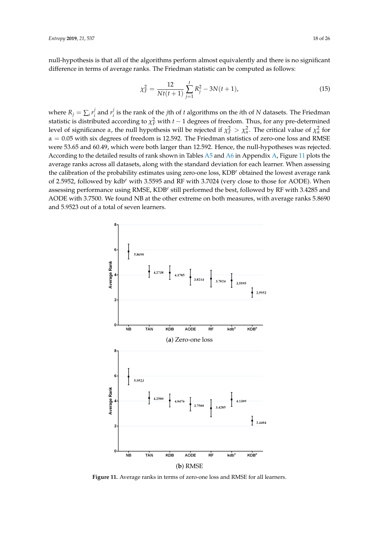null-hypothesis is that all of the algorithms perform almost equivalently and there is no significant difference in terms of average ranks. The Friedman statistic can be computed as follows:

$$
\chi_F^2 = \frac{12}{Nt(t+1)} \sum_{j=1}^t R_j^2 - 3N(t+1),\tag{15}
$$

where  $R_j = \sum_i r_i^j$  $\frac{j}{i}$  and  $r_i^j$ *i* is the rank of the *j*th of *t* algorithms on the *i*th of *N* datasets. The Friedman statistic is distributed according to  $\chi_F^2$  with *t* − 1 degrees of freedom. Thus, for any pre-determined level of significance *α*, the null hypothesis will be rejected if  $\chi^2_F > \chi^2_\alpha$ . The critical value of  $\chi^2_\alpha$  for  $\alpha = 0.05$  with six degrees of freedom is 12.592. The Friedman statistics of zero-one loss and RMSE were 53.65 and 60.49, which were both larger than 12.592. Hence, the null-hypotheses was rejected. According to the detailed results of rank shown in Tables [A5](#page-22-1) and [A6](#page-23-4) in Appendix [A,](#page-18-0) Figure [11](#page-17-0) plots the average ranks across all datasets, along with the standard deviation for each learner. When assessing the calibration of the probability estimates using zero-one loss, KDB*<sup>e</sup>* obtained the lowest average rank of 2.5952, followed by kdb*<sup>e</sup>* with 3.5595 and RF with 3.7024 (very close to those for AODE). When assessing performance using RMSE, KDB<sup>e</sup> still performed the best, followed by RF with 3.4285 and AODE with 3.7500. We found NB at the other extreme on both measures, with average ranks 5.8690 and 5.9523 out of a total of seven learners.

<span id="page-17-0"></span>

**Figure 11.** Average ranks in terms of zero-one loss and RMSE for all learners.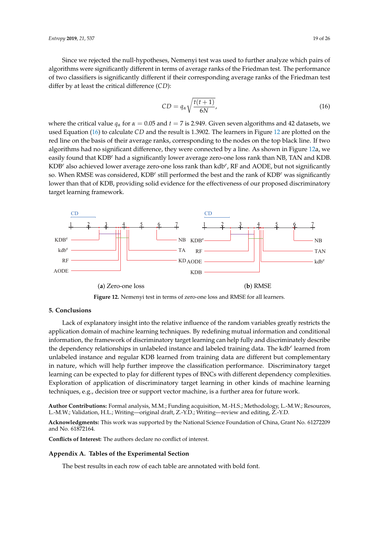Since we rejected the null-hypotheses, Nemenyi test was used to further analyze which pairs of algorithms were significantly different in terms of average ranks of the Friedman test. The performance of two classifiers is significantly different if their corresponding average ranks of the Friedman test differ by at least the critical difference (*CD*):

<span id="page-18-1"></span>
$$
CD = q_{\alpha} \sqrt{\frac{t(t+1)}{6N}},
$$
\n(16)

where the critical value  $q_\alpha$  for  $\alpha = 0.05$  and  $t = 7$  is 2.949. Given seven algorithms and 42 datasets, we used Equation [\(16\)](#page-18-1) to calculate *CD* and the result is 1.3902. The learners in Figure [12](#page-18-2) are plotted on the red line on the basis of their average ranks, corresponding to the nodes on the top black line. If two algorithms had no significant difference, they were connected by a line. As shown in Figure [12a](#page-18-2), we easily found that KDB*<sup>e</sup>* had a significantly lower average zero-one loss rank than NB, TAN and KDB. KDB*<sup>e</sup>* also achieved lower average zero-one loss rank than kdb*<sup>e</sup>* , RF and AODE, but not significantly so. When RMSE was considered, KDB<sup>e</sup> still performed the best and the rank of KDB<sup>e</sup> was significantly lower than that of KDB, providing solid evidence for the effectiveness of our proposed discriminatory target learning framework.

<span id="page-18-2"></span>



#### **5. Conclusions**

Lack of explanatory insight into the relative influence of the random variables greatly restricts the application domain of machine learning techniques. By redefining mutual information and conditional information, the framework of discriminatory target learning can help fully and discriminately describe the dependency relationships in unlabeled instance and labeled training data. The kdb*<sup>e</sup>* learned from unlabeled instance and regular KDB learned from training data are different but complementary in nature, which will help further improve the classification performance. Discriminatory target learning can be expected to play for different types of BNCs with different dependency complexities. Exploration of application of discriminatory target learning in other kinds of machine learning techniques, e.g., decision tree or support vector machine, is a further area for future work.

**Author Contributions:** Formal analysis, M.M.; Funding acquisition, M.-H.S.; Methodology, L.-M.W.; Resources, L.-M.W.; Validation, H.L.; Writing—original draft, Z.-Y.D.; Writing—review and editing, Z.-Y.D.

**Acknowledgments:** This work was supported by the National Science Foundation of China, Grant No. 61272209 and No. 61872164.

**Conflicts of Interest:** The authors declare no conflict of interest.

#### <span id="page-18-0"></span>**Appendix A. Tables of the Experimental Section**

The best results in each row of each table are annotated with bold font.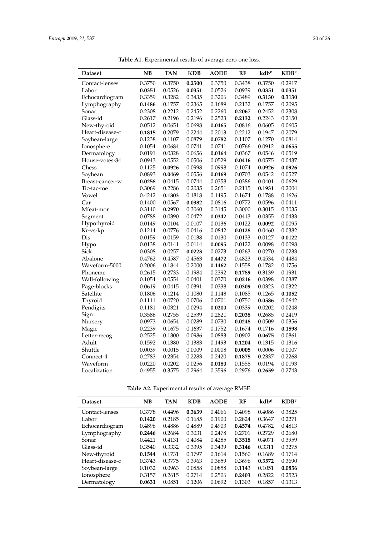<span id="page-19-0"></span>

| <b>Dataset</b>  | <b>NB</b> | <b>TAN</b> | <b>KDB</b> | <b>AODE</b> | <b>RF</b> | $kdb^e$ | $KDB^e$ |
|-----------------|-----------|------------|------------|-------------|-----------|---------|---------|
| Contact-lenses  | 0.3750    | 0.3750     | 0.2500     | 0.3750      | 0.3438    | 0.3750  | 0.2917  |
| Labor           | 0.0351    | 0.0526     | 0.0351     | 0.0526      | 0.0939    | 0.0351  | 0.0351  |
| Echocardiogram  | 0.3359    | 0.3282     | 0.3435     | 0.3206      | 0.3489    | 0.3130  | 0.3130  |
| Lymphography    | 0.1486    | 0.1757     | 0.2365     | 0.1689      | 0.2132    | 0.1757  | 0.2095  |
| Sonar           | 0.2308    | 0.2212     | 0.2452     | 0.2260      | 0.2067    | 0.2452  | 0.2308  |
| Glass-id        | 0.2617    | 0.2196     | 0.2196     | 0.2523      | 0.2132    | 0.2243  | 0.2150  |
| New-thyroid     | 0.0512    | 0.0651     | 0.0698     | 0.0465      | 0.0816    | 0.0605  | 0.0605  |
| Heart-disease-c | 0.1815    | 0.2079     | 0.2244     | 0.2013      | 0.2212    | 0.1947  | 0.2079  |
| Soybean-large   | 0.1238    | 0.1107     | 0.0879     | 0.0782      | 0.1107    | 0.1270  | 0.0814  |
| Ionosphere      | 0.1054    | 0.0684     | 0.0741     | 0.0741      | 0.0766    | 0.0912  | 0.0655  |
| Dermatology     | 0.0191    | 0.0328     | 0.0656     | 0.0164      | 0.0367    | 0.0546  | 0.0519  |
| House-votes-84  | 0.0943    | 0.0552     | 0.0506     | 0.0529      | 0.0416    | 0.0575  | 0.0437  |
| Chess           | 0.1125    | 0.0926     | 0.0998     | 0.0998      | 0.1074    | 0.0926  | 0.0926  |
| Soybean         | 0.0893    | 0.0469     | 0.0556     | 0.0469      | 0.0703    | 0.0542  | 0.0527  |
| Breast-cancer-w | 0.0258    | 0.0415     | 0.0744     | 0.0358      | 0.0386    | 0.0401  | 0.0629  |
| Tic-tac-toe     | 0.3069    | 0.2286     | 0.2035     | 0.2651      | 0.2115    | 0.1931  | 0.2004  |
| Vowel           | 0.4242    | 0.1303     | 0.1818     | 0.1495      | 0.1674    | 0.1788  | 0.1626  |
| Car             | 0.1400    | 0.0567     | 0.0382     | 0.0816      | 0.0772    | 0.0596  | 0.0411  |
| Mfeat-mor       | 0.3140    | 0.2970     | 0.3060     | 0.3145      | 0.3000    | 0.3015  | 0.3035  |
| Segment         | 0.0788    | 0.0390     | 0.0472     | 0.0342      | 0.0413    | 0.0355  | 0.0433  |
| Hypothyroid     | 0.0149    | 0.0104     | 0.0107     | 0.0136      | 0.0122    | 0.0092  | 0.0095  |
| Kr-vs-kp        | 0.1214    | 0.0776     | 0.0416     | 0.0842      | 0.0128    | 0.0460  | 0.0382  |
| Dis             | 0.0159    | 0.0159     | 0.0138     | 0.0130      | 0.0133    | 0.0127  | 0.0122  |
| Hypo            | 0.0138    | 0.0141     | 0.0114     | 0.0095      | 0.0122    | 0.0098  | 0.0098  |
| Sick            | 0.0308    | 0.0257     | 0.0223     | 0.0273      | 0.0263    | 0.0270  | 0.0233  |
| Abalone         | 0.4762    | 0.4587     | 0.4563     | 0.4472      | 0.4823    | 0.4534  | 0.4484  |
| Waveform-5000   | 0.2006    | 0.1844     | 0.2000     | 0.1462      | 0.1558    | 0.1782  | 0.1756  |
| Phoneme         | 0.2615    | 0.2733     | 0.1984     | 0.2392      | 0.1789    | 0.3139  | 0.1931  |
| Wall-following  | 0.1054    | 0.0554     | 0.0401     | 0.0370      | 0.0216    | 0.0398  | 0.0387  |
| Page-blocks     | 0.0619    | 0.0415     | 0.0391     | 0.0338      | 0.0309    | 0.0323  | 0.0322  |
| Satellite       | 0.1806    | 0.1214     | 0.1080     | 0.1148      | 0.1085    | 0.1265  | 0.1052  |
| Thyroid         | 0.1111    | 0.0720     | 0.0706     | 0.0701      | 0.0750    | 0.0586  | 0.0642  |
| Pendigits       | 0.1181    | 0.0321     | 0.0294     | 0.0200      | 0.0339    | 0.0202  | 0.0248  |
| Sign            | 0.3586    | 0.2755     | 0.2539     | 0.2821      | 0.2038    | 0.2685  | 0.2419  |
| Nursery         | 0.0973    | 0.0654     | 0.0289     | 0.0730      | 0.0248    | 0.0509  | 0.0356  |
| Magic           | 0.2239    | 0.1675     | 0.1637     | 0.1752      | 0.1674    | 0.1716  | 0.1598  |
| Letter-recog    | 0.2525    | 0.1300     | 0.0986     | 0.0883      | 0.0902    | 0.0675  | 0.0861  |
| Adult           | 0.1592    | 0.1380     | 0.1383     | 0.1493      | 0.1204    | 0.1315  | 0.1316  |
| Shuttle         | 0.0039    | 0.0015     | 0.0009     | 0.0008      | 0.0005    | 0.0006  | 0.0007  |
| Connect-4       | 0.2783    | 0.2354     | 0.2283     | 0.2420      | 0.1875    | 0.2337  | 0.2268  |
| Waveform        | 0.0220    | 0.0202     | 0.0256     | 0.0180      | 0.1558    | 0.0194  | 0.0193  |
| Localization    | 0.4955    | 0.3575     | 0.2964     | 0.3596      | 0.2976    | 0.2659  | 0.2743  |

**Table A1.** Experimental results of average zero-one loss.

|  |  |  | Table A2. Experimental results of average RMSE. |  |  |  |
|--|--|--|-------------------------------------------------|--|--|--|
|--|--|--|-------------------------------------------------|--|--|--|

| <b>Dataset</b>  | NB     | TAN    | <b>KDB</b> | <b>AODE</b> | RF     | $kdb^e$ | $KDB^e$ |
|-----------------|--------|--------|------------|-------------|--------|---------|---------|
| Contact-lenses  | 0.3778 | 0.4496 | 0.3639     | 0.4066      | 0.4098 | 0.4086  | 0.3825  |
| Labor           | 0.1420 | 0.2185 | 0.1685     | 0.1900      | 0.2824 | 0.3647  | 0.2271  |
| Echocardiogram  | 0.4896 | 0.4886 | 0.4889     | 0.4903      | 0.4574 | 0.4782  | 0.4813  |
| Lymphography    | 0.2446 | 0.2684 | 0.3031     | 0.2478      | 0.2701 | 0.2729  | 0.2680  |
| Sonar           | 0.4421 | 0.4131 | 0.4084     | 0.4285      | 0.3518 | 0.4071  | 0.3959  |
| Glass-id        | 0.3540 | 0.3332 | 0.3395     | 0.3439      | 0.3146 | 0.3311  | 0.3275  |
| New-thyroid     | 0.1544 | 0.1731 | 0.1797     | 0.1614      | 0.1560 | 0.1689  | 0.1714  |
| Heart-disease-c | 0.3743 | 0.3775 | 0.3963     | 0.3659      | 0.3696 | 0.3572  | 0.3690  |
| Soybean-large   | 0.1032 | 0.0963 | 0.0858     | 0.0858      | 0.1143 | 0.1051  | 0.0856  |
| Ionosphere      | 0.3157 | 0.2615 | 0.2714     | 0.2506      | 0.2403 | 0.2822  | 0.2523  |
| Dermatology     | 0.0631 | 0.0851 | 0.1206     | 0.0692      | 0.1303 | 0.1857  | 0.1313  |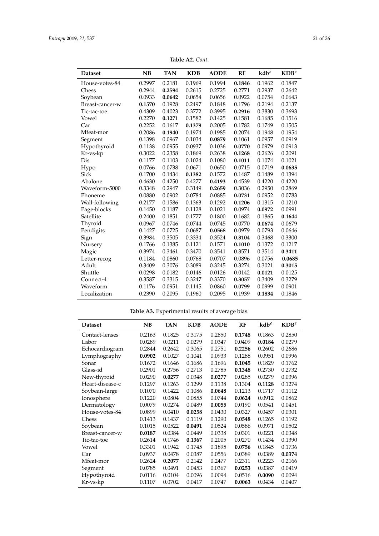<span id="page-20-0"></span>

| <b>Dataset</b>  | <b>NB</b> | <b>TAN</b> | <b>KDB</b> | <b>AODE</b> | RF     | $kdb^e$ | $KDB^e$ |
|-----------------|-----------|------------|------------|-------------|--------|---------|---------|
| House-votes-84  | 0.2997    | 0.2181     | 0.1969     | 0.1994      | 0.1846 | 0.1962  | 0.1847  |
| Chess           | 0.2944    | 0.2594     | 0.2615     | 0.2725      | 0.2771 | 0.2937  | 0.2642  |
| Soybean         | 0.0933    | 0.0642     | 0.0654     | 0.0656      | 0.0922 | 0.0754  | 0.0643  |
| Breast-cancer-w | 0.1570    | 0.1928     | 0.2497     | 0.1848      | 0.1796 | 0.2194  | 0.2137  |
| Tic-tac-toe     | 0.4309    | 0.4023     | 0.3772     | 0.3995      | 0.2916 | 0.3830  | 0.3693  |
| Vowel           | 0.2270    | 0.1271     | 0.1582     | 0.1425      | 0.1581 | 0.1685  | 0.1516  |
| Car             | 0.2252    | 0.1617     | 0.1379     | 0.2005      | 0.1782 | 0.1749  | 0.1505  |
| Mfeat-mor       | 0.2086    | 0.1940     | 0.1974     | 0.1985      | 0.2074 | 0.1948  | 0.1954  |
| Segment         | 0.1398    | 0.0967     | 0.1034     | 0.0879      | 0.1061 | 0.0957  | 0.0919  |
| Hypothyroid     | 0.1138    | 0.0955     | 0.0937     | 0.1036      | 0.0770 | 0.0979  | 0.0913  |
| Kr-vs-kp        | 0.3022    | 0.2358     | 0.1869     | 0.2638      | 0.1268 | 0.2626  | 0.2091  |
| Dis             | 0.1177    | 0.1103     | 0.1024     | 0.1080      | 0.1011 | 0.1074  | 0.1021  |
| Hypo            | 0.0766    | 0.0738     | 0.0671     | 0.0650      | 0.0715 | 0.0719  | 0.0635  |
| <b>Sick</b>     | 0.1700    | 0.1434     | 0.1382     | 0.1572      | 0.1487 | 0.1489  | 0.1394  |
| Abalone         | 0.4630    | 0.4250     | 0.4277     | 0.4193      | 0.4539 | 0.4220  | 0.4220  |
| Waveform-5000   | 0.3348    | 0.2947     | 0.3149     | 0.2659      | 0.3036 | 0.2950  | 0.2869  |
| Phoneme         | 0.0880    | 0.0902     | 0.0784     | 0.0885      | 0.0731 | 0.0952  | 0.0783  |
| Wall-following  | 0.2177    | 0.1586     | 0.1363     | 0.1292      | 0.1206 | 0.1315  | 0.1210  |
| Page-blocks     | 0.1450    | 0.1187     | 0.1128     | 0.1021      | 0.0974 | 0.0972  | 0.0991  |
| Satellite       | 0.2400    | 0.1851     | 0.1777     | 0.1800      | 0.1682 | 0.1865  | 0.1644  |
| Thyroid         | 0.0967    | 0.0746     | 0.0744     | 0.0745      | 0.0770 | 0.0674  | 0.0679  |
| Pendigits       | 0.1427    | 0.0725     | 0.0687     | 0.0568      | 0.0979 | 0.0793  | 0.0646  |
| Sign            | 0.3984    | 0.3505     | 0.3334     | 0.3524      | 0.3104 | 0.3468  | 0.3300  |
| Nursery         | 0.1766    | 0.1385     | 0.1121     | 0.1571      | 0.1010 | 0.1372  | 0.1217  |
| Magic           | 0.3974    | 0.3461     | 0.3470     | 0.3541      | 0.3571 | 0.3514  | 0.3411  |
| Letter-recog    | 0.1184    | 0.0860     | 0.0768     | 0.0707      | 0.0896 | 0.0756  | 0.0685  |
| Adult           | 0.3409    | 0.3076     | 0.3089     | 0.3245      | 0.3274 | 0.3021  | 0.3015  |
| Shuttle         | 0.0298    | 0.0182     | 0.0146     | 0.0126      | 0.0142 | 0.0121  | 0.0125  |
| Connect-4       | 0.3587    | 0.3315     | 0.3247     | 0.3370      | 0.3057 | 0.3409  | 0.3279  |
| Waveform        | 0.1176    | 0.0951     | 0.1145     | 0.0860      | 0.0799 | 0.0999  | 0.0901  |
| Localization    | 0.2390    | 0.2095     | 0.1960     | 0.2095      | 0.1939 | 0.1834  | 0.1846  |

**Table A2.** *Cont*.

**Table A3.** Experimental results of average bias.

| <b>Dataset</b>  | NB     | TAN    | <b>KDB</b> | <b>AODE</b> | RF     | $kdb^e$ | $KDB^e$ |
|-----------------|--------|--------|------------|-------------|--------|---------|---------|
| Contact-lenses  | 0.2163 | 0.1825 | 0.3175     | 0.2850      | 0.1748 | 0.1863  | 0.2850  |
| Labor           | 0.0289 | 0.0211 | 0.0279     | 0.0347      | 0.0409 | 0.0184  | 0.0279  |
| Echocardiogram  | 0.2844 | 0.2642 | 0.3065     | 0.2751      | 0.2256 | 0.2602  | 0.2686  |
| Lymphography    | 0.0902 | 0.1027 | 0.1041     | 0.0933      | 0.1288 | 0.0951  | 0.0996  |
| Sonar           | 0.1672 | 0.1646 | 0.1686     | 0.1696      | 0.1045 | 0.1829  | 0.1762  |
| Glass-id        | 0.2901 | 0.2756 | 0.2713     | 0.2785      | 0.1348 | 0.2730  | 0.2732  |
| New-thyroid     | 0.0290 | 0.0277 | 0.0348     | 0.0277      | 0.0285 | 0.0279  | 0.0396  |
| Heart-disease-c | 0.1297 | 0.1263 | 0.1299     | 0.1138      | 0.1304 | 0.1128  | 0.1274  |
| Soybean-large   | 0.1070 | 0.1422 | 0.1086     | 0.0648      | 0.1213 | 0.1717  | 0.1112  |
| Ionosphere      | 0.1220 | 0.0804 | 0.0855     | 0.0744      | 0.0624 | 0.0912  | 0.0862  |
| Dermatology     | 0.0079 | 0.0274 | 0.0489     | 0.0055      | 0.0190 | 0.0541  | 0.0451  |
| House-votes-84  | 0.0899 | 0.0410 | 0.0258     | 0.0430      | 0.0327 | 0.0457  | 0.0301  |
| Chess           | 0.1413 | 0.1437 | 0.1119     | 0.1290      | 0.0548 | 0.1265  | 0.1192  |
| Soybean         | 0.1015 | 0.0522 | 0.0491     | 0.0524      | 0.0586 | 0.0971  | 0.0502  |
| Breast-cancer-w | 0.0187 | 0.0384 | 0.0449     | 0.0338      | 0.0301 | 0.0221  | 0.0348  |
| Tic-tac-toe     | 0.2614 | 0.1746 | 0.1367     | 0.2005      | 0.0270 | 0.1434  | 0.1390  |
| Vowel           | 0.3301 | 0.1942 | 0.1745     | 0.1895      | 0.0756 | 0.1845  | 0.1736  |
| Car             | 0.0937 | 0.0478 | 0.0387     | 0.0556      | 0.0389 | 0.0389  | 0.0374  |
| Mfeat-mor       | 0.2624 | 0.2077 | 0.2142     | 0.2477      | 0.2311 | 0.2223  | 0.2166  |
| Segment         | 0.0785 | 0.0491 | 0.0453     | 0.0367      | 0.0253 | 0.0387  | 0.0419  |
| Hypothyroid     | 0.0116 | 0.0104 | 0.0096     | 0.0094      | 0.0516 | 0.0090  | 0.0094  |
| Kr-vs-kp        | 0.1107 | 0.0702 | 0.0417     | 0.0747      | 0.0063 | 0.0434  | 0.0407  |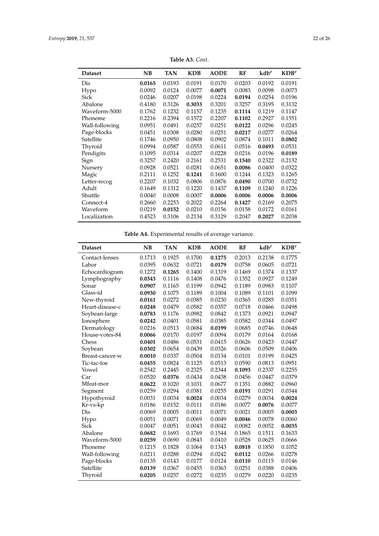<span id="page-21-0"></span>

| <b>Dataset</b> | NB     | <b>TAN</b> | <b>KDB</b> | <b>AODE</b> | <b>RF</b> | $kdb^e$ | $KDB^e$ |
|----------------|--------|------------|------------|-------------|-----------|---------|---------|
| Dis            | 0.0165 | 0.0193     | 0.0191     | 0.0170      | 0.0203    | 0.0192  | 0.0191  |
| Hypo           | 0.0092 | 0.0124     | 0.0077     | 0.0071      | 0.0083    | 0.0098  | 0.0073  |
| Sick           | 0.0246 | 0.0207     | 0.0198     | 0.0224      | 0.0194    | 0.0254  | 0.0196  |
| Abalone        | 0.4180 | 0.3126     | 0.3033     | 0.3201      | 0.3257    | 0.3195  | 0.3132  |
| Waveform-5000  | 0.1762 | 0.1232     | 0.1157     | 0.1235      | 0.1114    | 0.1219  | 0.1147  |
| Phoneme        | 0.2216 | 0.2394     | 0.1572     | 0.2207      | 0.1102    | 0.2927  | 0.1551  |
| Wall-following | 0.0951 | 0.0491     | 0.0257     | 0.0251      | 0.0122    | 0.0296  | 0.0245  |
| Page-blocks    | 0.0451 | 0.0308     | 0.0280     | 0.0251      | 0.0217    | 0.0277  | 0.0264  |
| Satellite      | 0.1746 | 0.0950     | 0.0808     | 0.0902      | 0.0874    | 0.1011  | 0.0802  |
| Thyroid        | 0.0994 | 0.0587     | 0.0553     | 0.0611      | 0.0516    | 0.0493  | 0.0531  |
| Pendigits      | 0.1095 | 0.0314     | 0.0207     | 0.0228      | 0.0216    | 0.0196  | 0.0189  |
| Sign           | 0.3257 | 0.2420     | 0.2161     | 0.2531      | 0.1540    | 0.2322  | 0.2132  |
| Nursery        | 0.0928 | 0.0521     | 0.0281     | 0.0651      | 0.0086    | 0.0400  | 0.0322  |
| Magic          | 0.2111 | 0.1252     | 0.1241     | 0.1600      | 0.1244    | 0.1323  | 0.1265  |
| Letter-recog   | 0.2207 | 0.1032     | 0.0806     | 0.0876      | 0.0490    | 0.0700  | 0.0732  |
| Adult          | 0.1649 | 0.1312     | 0.1220     | 0.1437      | 0.1109    | 0.1240  | 0.1226  |
| Shuttle        | 0.0040 | 0.0008     | 0.0007     | 0.0006      | 0.0006    | 0.0006  | 0.0006  |
| Connect-4      | 0.2660 | 0.2253     | 0.2022     | 0.2264      | 0.1427    | 0.2169  | 0.2075  |
| Waveform       | 0.0219 | 0.0152     | 0.0210     | 0.0156      | 0.0158    | 0.0172  | 0.0161  |
| Localization   | 0.4523 | 0.3106     | 0.2134     | 0.3129      | 0.2047    | 0.2027  | 0.2038  |

**Table A3.** *Cont*.

**Table A4.** Experimental results of average variance.

| <b>Dataset</b>  | <b>NB</b> | <b>TAN</b> | <b>KDB</b> | <b>AODE</b> | RF     | $kdb^e$ | $KDB^e$ |
|-----------------|-----------|------------|------------|-------------|--------|---------|---------|
| Contact-lenses  | 0.1713    | 0.1925     | 0.1700     | 0.1275      | 0.2013 | 0.2138  | 0.1775  |
| Labor           | 0.0395    | 0.0632     | 0.0721     | 0.0179      | 0.0758 | 0.0605  | 0.0721  |
| Echocardiogram  | 0.1272    | 0.1265     | 0.1400     | 0.1319      | 0.1469 | 0.1374  | 0.1337  |
| Lymphography    | 0.0343    | 0.1116     | 0.1408     | 0.0476      | 0.1352 | 0.0927  | 0.1249  |
| Sonar           | 0.0907    | 0.1165     | 0.1199     | 0.0942      | 0.1189 | 0.0983  | 0.1107  |
| Glass-id        | 0.0930    | 0.1075     | 0.1189     | 0.1004      | 0.1089 | 0.1101  | 0.1099  |
| New-thyroid     | 0.0161    | 0.0272     | 0.0385     | 0.0230      | 0.0365 | 0.0285  | 0.0351  |
| Heart-disease-c | 0.0248    | 0.0479     | 0.0582     | 0.0357      | 0.0718 | 0.0466  | 0.0498  |
| Soybean-large   | 0.0783    | 0.1176     | 0.0982     | 0.0842      | 0.1373 | 0.0921  | 0.0947  |
| Ionosphere      | 0.0242    | 0.0401     | 0.0581     | 0.0385      | 0.0582 | 0.0344  | 0.0497  |
| Dermatology     | 0.0216    | 0.0513     | 0.0684     | 0.0199      | 0.0685 | 0.0746  | 0.0648  |
| House-votes-84  | 0.0066    | 0.0170     | 0.0197     | 0.0094      | 0.0179 | 0.0164  | 0.0168  |
| Chess           | 0.0401    | 0.0486     | 0.0531     | 0.0415      | 0.0626 | 0.0423  | 0.0447  |
| Soybean         | 0.0302    | 0.0654     | 0.0439     | 0.0326      | 0.0606 | 0.0509  | 0.0406  |
| Breast-cancer-w | 0.0010    | 0.0337     | 0.0504     | 0.0134      | 0.0101 | 0.0199  | 0.0425  |
| Tic-tac-toe     | 0.0455    | 0.0824     | 0.1125     | 0.0513      | 0.0590 | 0.0813  | 0.0951  |
| Vowel           | 0.2542    | 0.2445     | 0.2325     | 0.2344      | 0.1093 | 0.2337  | 0.2255  |
| Car             | 0.0520    | 0.0376     | 0.0434     | 0.0438      | 0.0456 | 0.0447  | 0.0379  |
| Mfeat-mor       | 0.0622    | 0.1020     | 0.1031     | 0.0677      | 0.1351 | 0.0882  | 0.0960  |
| Segment         | 0.0259    | 0.0294     | 0.0381     | 0.0255      | 0.0191 | 0.0291  | 0.0344  |
| Hypothyroid     | 0.0031    | 0.0034     | 0.0024     | 0.0034      | 0.0279 | 0.0034  | 0.0024  |
| Kr-vs-kp        | 0.0186    | 0.0152     | 0.0111     | 0.0186      | 0.0077 | 0.0076  | 0.0077  |
| Dis             | 0.0069    | 0.0005     | 0.0011     | 0.0071      | 0.0021 | 0.0005  | 0.0003  |
| Hypo            | 0.0051    | 0.0071     | 0.0069     | 0.0049      | 0.0046 | 0.0078  | 0.0060  |
| Sick            | 0.0047    | 0.0051     | 0.0043     | 0.0042      | 0.0082 | 0.0052  | 0.0035  |
| Abalone         | 0.0682    | 0.1693     | 0.1769     | 0.1544      | 0.1865 | 0.1511  | 0.1633  |
| Waveform-5000   | 0.0259    | 0.0690     | 0.0843     | 0.0410      | 0.0528 | 0.0625  | 0.0666  |
| Phoneme         | 0.1215    | 0.1828     | 0.1064     | 0.1343      | 0.0818 | 0.1850  | 0.1052  |
| Wall-following  | 0.0211    | 0.0288     | 0.0294     | 0.0242      | 0.0112 | 0.0266  | 0.0278  |
| Page-blocks     | 0.0135    | 0.0143     | 0.0177     | 0.0124      | 0.0110 | 0.0115  | 0.0146  |
| Satellite       | 0.0139    | 0.0367     | 0.0455     | 0.0363      | 0.0251 | 0.0388  | 0.0406  |
| Thyroid         | 0.0205    | 0.0257     | 0.0272     | 0.0235      | 0.0279 | 0.0220  | 0.0235  |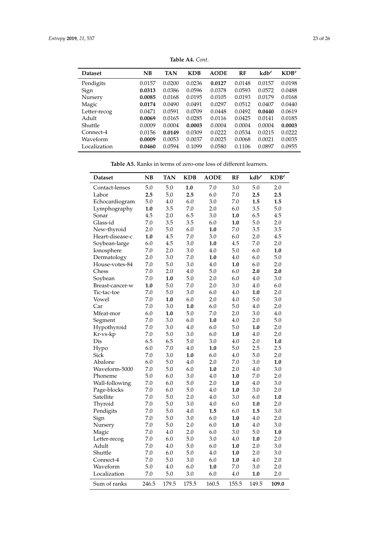<span id="page-22-0"></span>

| NB     | <b>TAN</b> | <b>KDB</b> | <b>AODE</b> | RF     | $kdb^e$ | $KDB^e$ |
|--------|------------|------------|-------------|--------|---------|---------|
| 0.0157 | 0.0200     | 0.0236     | 0.0127      | 0.0148 | 0.0157  | 0.0198  |
| 0.0313 | 0.0386     | 0.0596     | 0.0378      | 0.0593 | 0.0572  | 0.0488  |
| 0.0085 | 0.0168     | 0.0195     | 0.0105      | 0.0193 | 0.0179  | 0.0168  |
| 0.0174 | 0.0490     | 0.0491     | 0.0297      | 0.0512 | 0.0407  | 0.0440  |
| 0.0471 | 0.0591     | 0.0709     | 0.0448      | 0.0492 | 0.0440  | 0.0619  |
| 0.0069 | 0.0165     | 0.0285     | 0.0116      | 0.0425 | 0.0141  | 0.0185  |
| 0.0009 | 0.0004     | 0.0003     | 0.0004      | 0.0004 | 0.0004  | 0.0003  |
| 0.0156 | 0.0149     | 0.0309     | 0.0222      | 0.0534 | 0.0215  | 0.0222  |
| 0.0009 | 0.0053     | 0.0037     | 0.0025      | 0.0068 | 0.0021  | 0.0035  |
| 0.0460 | 0.0594     | 0.1099     | 0.0580      | 0.1106 | 0.0897  | 0.0955  |
|        |            |            |             |        |         |         |

**Table A4.** *Cont*.

**Table A5.** Ranks in terms of zero-one loss of different learners.

<span id="page-22-1"></span>

| <b>Dataset</b>  | <b>NB</b> | <b>TAN</b> | <b>KDB</b> | <b>AODE</b> | RF      | $\mathbf{k} \mathbf{d} \mathbf{b}^e$ | $\mathbf{KDB}^e$ |
|-----------------|-----------|------------|------------|-------------|---------|--------------------------------------|------------------|
| Contact-lenses  | 5.0       | 5.0        | 1.0        | 7.0         | 3.0     | $5.0\,$                              | 2.0              |
| Labor           | 2.5       | 5.0        | 2.5        | 6.0         | 7.0     | 2.5                                  | 2.5              |
| Echocardiogram  | 5.0       | 4.0        | 6.0        | 3.0         | 7.0     | 1.5                                  | 1.5              |
| Lymphography    | 1.0       | 3.5        | $7.0\,$    | 2.0         | 6.0     | 3.5                                  | $5.0\,$          |
| Sonar           | 4.5       | 2.0        | 6.5        | 3.0         | 1.0     | 6.5                                  | 4.5              |
| Glass-id        | 7.0       | 3.5        | 3.5        | 6.0         | 1.0     | 5.0                                  | 2.0              |
| New-thyroid     | 2.0       | 5.0        | 6.0        | 1.0         | 7.0     | 3.5                                  | 3.5              |
| Heart-disease-c | 1.0       | 4.5        | 7.0        | 3.0         | 6.0     | 2.0                                  | 4.5              |
| Soybean-large   | 6.0       | 4.5        | 3.0        | 1.0         | 4.5     | $7.0\,$                              | 2.0              |
| Ionosphere      | 7.0       | 2.0        | 3.0        | 4.0         | 5.0     | 6.0                                  | 1.0              |
| Dermatology     | 2.0       | 3.0        | 7.0        | 1.0         | 4.0     | 6.0                                  | 5.0              |
| House-votes-84  | $7.0\,$   | $5.0\,$    | 3.0        | 4.0         | 1.0     | 6.0                                  | 2.0              |
| Chess           | 7.0       | 2.0        | 4.0        | 5.0         | 6.0     | 2.0                                  | 2.0              |
| Soybean         | 7.0       | 1.0        | 5.0        | 2.0         | 6.0     | 4.0                                  | 3.0              |
| Breast-cancer-w | 1.0       | 5.0        | 7.0        | 2.0         | 3.0     | 4.0                                  | 6.0              |
| Tic-tac-toe     | 7.0       | 5.0        | 3.0        | 6.0         | 4.0     | 1.0                                  | 2.0              |
| Vowel           | 7.0       | 1.0        | 6.0        | 2.0         | 4.0     | 5.0                                  | 3.0              |
| Car             | 7.0       | 3.0        | 1.0        | 6.0         | 5.0     | 4.0                                  | 2.0              |
| Mfeat-mor       | 6.0       | 1.0        | 5.0        | 7.0         | 2.0     | 3.0                                  | 4.0              |
| Segment         | $7.0\,$   | 3.0        | 6.0        | 1.0         | 4.0     | 2.0                                  | $5.0\,$          |
| Hypothyroid     | 7.0       | 3.0        | 4.0        | 6.0         | 5.0     | 1.0                                  | 2.0              |
| Kr-vs-kp        | 7.0       | 5.0        | 3.0        | 6.0         | 1.0     | 4.0                                  | 2.0              |
| Dis             | 6.5       | 6.5        | 5.0        | 3.0         | 4.0     | 2.0                                  | 1.0              |
| Hypo            | 6.0       | $7.0\,$    | 4.0        | 1.0         | 5.0     | 2.5                                  | 2.5              |
| Sick            | 7.0       | 3.0        | 1.0        | 6.0         | 4.0     | 5.0                                  | 2.0              |
| Abalone         | 6.0       | $5.0\,$    | 4.0        | 2.0         | $7.0\,$ | 3.0                                  | 1.0              |
| Waveform-5000   | 7.0       | 5.0        | 6.0        | 1.0         | 2.0     | 4.0                                  | 3.0              |
| Phoneme         | 5.0       | 6.0        | 3.0        | 4.0         | 1.0     | 7.0                                  | 2.0              |
| Wall-following  | 7.0       | 6.0        | 5.0        | 2.0         | 1.0     | 4.0                                  | 3.0              |
| Page-blocks     | 7.0       | 6.0        | 5.0        | 4.0         | 1.0     | 3.0                                  | 2.0              |
| Satellite       | 7.0       | 5.0        | 2.0        | 4.0         | 3.0     | 6.0                                  | 1.0              |
| Thyroid         | $7.0\,$   | 5.0        | 3.0        | 4.0         | 6.0     | 1.0                                  | 2.0              |
| Pendigits       | 7.0       | 5.0        | 4.0        | 1.5         | 6.0     | 1.5                                  | 3.0              |
| Sign            | 7.0       | 5.0        | 3.0        | 6.0         | 1.0     | 4.0                                  | 2.0              |
| Nursery         | 7.0       | $5.0\,$    | 2.0        | 6.0         | 1.0     | 4.0                                  | 3.0              |
| Magic           | $7.0\,$   | $4.0\,$    | 2.0        | 6.0         | 3.0     | $5.0\,$                              | 1.0              |
| Letter-recog    | 7.0       | 6.0        | 5.0        | 3.0         | 4.0     | 1.0                                  | 2.0              |
| Adult           | 7.0       | $4.0\,$    | 5.0        | 6.0         | 1.0     | 2.0                                  | 3.0              |
| Shuttle         | 7.0       | 6.0        | 5.0        | 4.0         | 1.0     | 2.0                                  | 3.0              |
| Connect-4       | 7.0       | 5.0        | 3.0        | 6.0         | 1.0     | 4.0                                  | 2.0              |
| Waveform        | 5.0       | 4.0        | 6.0        | 1.0         | 7.0     | 3.0                                  | 2.0              |
| Localization    | 7.0       | 5.0        | 3.0        | 6.0         | 4.0     | 1.0                                  | 2.0              |
| Sum of ranks    | 246.5     | 179.5      | 175.5      | 160.5       | 155.5   | 149.5                                | 109.0            |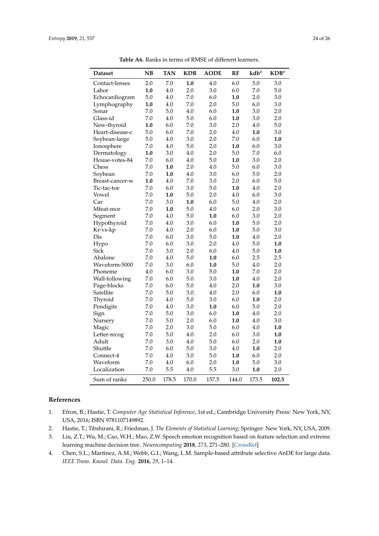<span id="page-23-4"></span>

| <b>Dataset</b>  | NB      | <b>TAN</b> | <b>KDB</b> | <b>AODE</b> | RF      | $kdb^e$ | $\mathbf{KDB}^e$ |
|-----------------|---------|------------|------------|-------------|---------|---------|------------------|
| Contact-lenses  | 2.0     | 7.0        | 1.0        | 4.0         | 6.0     | 5.0     | 3.0              |
| Labor           | 1.0     | 4.0        | 2.0        | 3.0         | 6.0     | 7.0     | 5.0              |
| Echocardiogram  | 5.0     | 4.0        | 7.0        | 6.0         | 1.0     | 2.0     | 3.0              |
| Lymphography    | 1.0     | 4.0        | 7.0        | 2.0         | 5.0     | 6.0     | 3.0              |
| Sonar           | 7.0     | 5.0        | 4.0        | 6.0         | 1.0     | 3.0     | 2.0              |
| Glass-id        | 7.0     | 4.0        | 5.0        | 6.0         | 1.0     | 3.0     | 2.0              |
| New-thyroid     | 1.0     | 6.0        | 7.0        | 3.0         | 2.0     | 4.0     | 5.0              |
| Heart-disease-c | 5.0     | 6.0        | 7.0        | 2.0         | 4.0     | 1.0     | 3.0              |
| Soybean-large   | 5.0     | 4.0        | 3.0        | 2.0         | $7.0\,$ | 6.0     | $1.0\,$          |
| Ionosphere      | $7.0\,$ | 4.0        | 5.0        | 2.0         | 1.0     | 6.0     | 3.0              |
| Dermatology     | 1.0     | 3.0        | 4.0        | 2.0         | 5.0     | 7.0     | 6.0              |
| House-votes-84  | 7.0     | 6.0        | 4.0        | 5.0         | 1.0     | 3.0     | 2.0              |
| Chess           | 7.0     | 1.0        | 2.0        | 4.0         | 5.0     | 6.0     | 3.0              |
| Soybean         | 7.0     | 1.0        | 4.0        | 3.0         | 6.0     | 5.0     | 2.0              |
| Breast-cancer-w | 1.0     | 4.0        | 7.0        | 3.0         | 2.0     | 6.0     | 5.0              |
| Tic-tac-toe     | 7.0     | 6.0        | 3.0        | 5.0         | 1.0     | 4.0     | 2.0              |
| Vowel           | 7.0     | 1.0        | 5.0        | 2.0         | 4.0     | 6.0     | 3.0              |
| Car             | 7.0     | 3.0        | 1.0        | 6.0         | 5.0     | $4.0\,$ | 2.0              |
| Mfeat-mor       | 7.0     | 1.0        | 5.0        | 4.0         | 6.0     | 2.0     | 3.0              |
| Segment         | 7.0     | 4.0        | 5.0        | 1.0         | 6.0     | 3.0     | 2.0              |
| Hypothyroid     | 7.0     | 4.0        | 3.0        | 6.0         | 1.0     | 5.0     | 2.0              |
| Kr-vs-kp        | 7.0     | 4.0        | 2.0        | 6.0         | 1.0     | 5.0     | 3.0              |
| Dis             | 7.0     | 6.0        | 3.0        | 5.0         | 1.0     | 4.0     | 2.0              |
| Hypo            | 7.0     | 6.0        | 3.0        | 2.0         | 4.0     | 5.0     | 1.0              |
| Sick            | 7.0     | 3.0        | 2.0        | 6.0         | 4.0     | 5.0     | 1.0              |
| Abalone         | 7.0     | 4.0        | 5.0        | 1.0         | 6.0     | 2.5     | 2.5              |
| Waveform-5000   | 7.0     | 3.0        | 6.0        | 1.0         | 5.0     | 4.0     | 2.0              |
| Phoneme         | 4.0     | 6.0        | 3.0        | 5.0         | 1.0     | 7.0     | 2.0              |
| Wall-following  | 7.0     | 6.0        | 5.0        | 3.0         | 1.0     | 4.0     | 2.0              |
| Page-blocks     | $7.0\,$ | 6.0        | 5.0        | 4.0         | 2.0     | 1.0     | 3.0              |
| Satellite       | 7.0     | 5.0        | 3.0        | 4.0         | 2.0     | 6.0     | 1.0              |
| Thyroid         | 7.0     | 4.0        | 5.0        | 3.0         | 6.0     | 1.0     | 2.0              |
| Pendigits       | 7.0     | 4.0        | 3.0        | 1.0         | 6.0     | 5.0     | 2.0              |
| Sign            | 7.0     | 5.0        | 3.0        | 6.0         | 1.0     | 4.0     | 2.0              |
| Nursery         | 7.0     | 5.0        | 2.0        | 6.0         | 1.0     | 4.0     | 3.0              |
| Magic           | 7.0     | 2.0        | 3.0        | 5.0         | 6.0     | 4.0     | 1.0              |
| Letter-recog    | 7.0     | 5.0        | 4.0        | 2.0         | 6.0     | 3.0     | 1.0              |
| Adult           | 7.0     | 3.0        | 4.0        | 5.0         | 6.0     | 2.0     | 1.0              |
| Shuttle         | 7.0     | 6.0        | 5.0        | 3.0         | 4.0     | 1.0     | 2.0              |
| Connect-4       | 7.0     | 4.0        | 3.0        | 5.0         | 1.0     | 6.0     | 2.0              |
| Waveform        | 7.0     | 4.0        | 6.0        | 2.0         | 1.0     | 5.0     | 3.0              |
| Localization    | 7.0     | 5.5        | 4.0        | 5.5         | $3.0\,$ | 1.0     | 2.0              |
| Sum of ranks    | 250.0   | 178.5      | 170.0      | 157.5       | 144.0   | 173.5   | 102.5            |

**Table A6.** Ranks in terms of RMSE of different learners.

# **References**

- <span id="page-23-0"></span>1. Efron, B.; Hastie, T. *Computer Age Statistical Inference*, 1st ed.; Cambridge University Press: New York, NY, USA, 2016; ISBN 9781107149892.
- <span id="page-23-1"></span>2. Hastie, T.; Tibshirani, R.; Friedman, J. *The Elements of Statistical Learning*; Springer: New York, NY, USA, 2009.
- <span id="page-23-2"></span>3. Liu, Z.T.; Wu, M.; Cao, W.H.; Mao, Z.W. Speech emotion recognition based on feature selection and extreme learning machine decision tree. *Neurocomputing* **2018**, *273*, 271–280. [\[CrossRef\]](http://dx.doi.org/10.1016/j.neucom.2017.07.050)
- <span id="page-23-3"></span>4. Chen, S.L.; Martinez, A.M.; Webb, G.I.; Wang, L.M. Sample-based attribute selective AnDE for large data. *IEEE Trans. Knowl. Data. Eng.* **2016**, *29*, 1–14.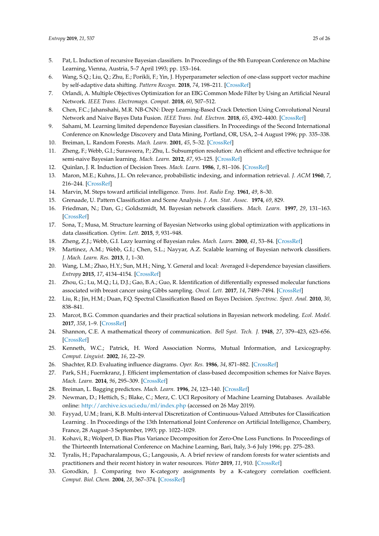- <span id="page-24-0"></span>5. Pat, L. Induction of recursive Bayesian classifiers. In Proceedings of the 8th European Conference on Machine Learning, Vienna, Austria, 5–7 April 1993; pp. 153–164.
- <span id="page-24-1"></span>6. Wang, S.Q.; Liu, Q.; Zhu, E.; Porikli, F.; Yin, J. Hyperparameter selection of one-class support vector machine by self-adaptive data shifting. *Pattern Recogn.* **2018**, *74*, 198–211. [\[CrossRef\]](http://dx.doi.org/10.1016/j.patcog.2017.09.012)
- <span id="page-24-2"></span>7. Orlandi, A. Multiple Objectives Optimization for an EBG Common Mode Filter by Using an Artificial Neural Network. *IEEE Trans. Electromagn. Compat.* **2018**, *60*, 507–512.
- <span id="page-24-3"></span>8. Chen, F.C.; Jahanshahi, M.R. NB-CNN: Deep Learning-Based Crack Detection Using Convolutional Neural Network and Naive Bayes Data Fusion. *IEEE Trans. Ind. Electron.* **2018**, *65*, 4392–4400. [\[CrossRef\]](http://dx.doi.org/10.1109/TIE.2017.2764844)
- <span id="page-24-4"></span>9. Sahami, M. Learning limited dependence Bayesian classifiers. In Proceedings of the Second International Conference on Knowledge Discovery and Data Mining, Portland, OR, USA, 2–4 August 1996; pp. 335–338.
- <span id="page-24-5"></span>10. Breiman, L. Random Forests. *Mach. Learn.* **2001**, *45*, 5–32. [\[CrossRef\]](http://dx.doi.org/10.1023/A:1010933404324)
- <span id="page-24-6"></span>11. Zheng, F.; Webb, G.I.; Suraweera, P.; Zhu, L. Subsumption resolution: An efficient and effective technique for semi-naive Bayesian learning. *Mach. Learn.* **2012**, *87*, 93–125. [\[CrossRef\]](http://dx.doi.org/10.1007/s10994-011-5275-2)
- <span id="page-24-7"></span>12. Quinlan, J. R. Induction of Decision Trees. *Mach. Learn.* **1986**, *1*, 81–106. [\[CrossRef\]](http://dx.doi.org/10.1007/BF00116251)
- <span id="page-24-8"></span>13. Maron, M.E.; Kuhns, J.L. On relevance, probabilistic indexing, and information retrieval. *J. ACM* **1960**, *7*, 216–244. [\[CrossRef\]](http://dx.doi.org/10.1145/321033.321035)
- 14. Marvin, M. Steps toward artificial intelligence. *Trans. Inst. Radio Eng.* **1961**, *49*, 8–30.
- <span id="page-24-10"></span><span id="page-24-9"></span>15. Grenaade, U. Pattern Classification and Scene Analysis. *J. Am. Stat. Assoc.* **1974**, *69*, 829.
- 16. Friedman, N.; Dan, G.; Goldszmidt, M. Bayesian network classifiers. *Mach. Learn.* **1997**, *29*, 131–163. [\[CrossRef\]](http://dx.doi.org/10.1023/A:1007465528199)
- <span id="page-24-17"></span>17. Sona, T.; Musa, M. Structure learning of Bayesian Networks using global optimization with applications in data classification. *Optim. Lett.* **2015**, *9*, 931–948.
- <span id="page-24-16"></span>18. Zheng, Z.J.; Webb, G.I. Lazy learning of Bayesian rules. *Mach. Learn.* **2000**, *41*, 53–84. [\[CrossRef\]](http://dx.doi.org/10.1023/A:1007613203719)
- <span id="page-24-26"></span>19. Martinez, A.M.; Webb, G.I.; Chen, S.L.; Nayyar, A.Z. Scalable learning of Bayesian network classifiers. *J. Mach. Learn. Res.* **2013**, *1*, 1–30.
- <span id="page-24-11"></span>20. Wang, L.M.; Zhao, H.Y.; Sun, M.H.; Ning, Y. General and local: Averaged *k*-dependence bayesian classifiers. *Entropy* **2015**, *17*, 4134–4154. [\[CrossRef\]](http://dx.doi.org/10.3390/e17064134)
- <span id="page-24-12"></span>21. Zhou, G.; Lu, M.Q.; Li, D.J.; Gao, B.A.; Guo, R. Identification of differentially expressed molecular functions associated with breast cancer using Gibbs sampling. *Oncol. Lett.* **2017**, *14*, 7489–7494. [\[CrossRef\]](http://dx.doi.org/10.3892/ol.2017.7158)
- <span id="page-24-13"></span>22. Liu, R.; Jin, H.M.; Duan, F.Q. Spectral Classification Based on Bayes Decision. *Spectrosc. Spect. Anal.* **2010**, *30*, 838–841.
- <span id="page-24-14"></span>23. Marcot, B.G. Common quandaries and their practical solutions in Bayesian network modeling. *Ecol. Model.* **2017**, *358*, 1–9. [\[CrossRef\]](http://dx.doi.org/10.1016/j.ecolmodel.2017.05.011)
- <span id="page-24-15"></span>24. Shannon, C.E. A mathematical theory of communication. *Bell Syst. Tech. J.* **1948**, *27*, 379–423, 623–656. [\[CrossRef\]](http://dx.doi.org/10.1002/j.1538-7305.1948.tb01338.x)
- <span id="page-24-18"></span>25. Kenneth, W.C.; Patrick, H. Word Association Norms, Mutual Information, and Lexicography. *Comput. Linguist.* **2002**, *16*, 22–29.
- <span id="page-24-19"></span>26. Shachter, R.D. Evaluating influence diagrams. *Oper. Res.* **1986**, *34*, 871–882. [\[CrossRef\]](http://dx.doi.org/10.1287/opre.34.6.871)
- <span id="page-24-20"></span>27. Park, S.H.; Fuernkranz, J. Efficient implementation of class-based decomposition schemes for Naive Bayes. *Mach. Learn.* **2014**, *96*, 295–309. [\[CrossRef\]](http://dx.doi.org/10.1007/s10994-013-5430-z)
- <span id="page-24-21"></span>28. Breiman, L. Bagging predictors. *Mach. Learn.* **1996**, *24*, 123–140. [\[CrossRef\]](http://dx.doi.org/10.1007/BF00058655)
- <span id="page-24-22"></span>29. Newman, D.; Hettich, S.; Blake, C.; Merz, C. UCI Repository of Machine Learning Databases. Available online: <http://archive.ics.uci.edu/ml/index.php> (accessed on 26 May 2019).
- <span id="page-24-23"></span>30. Fayyad, U.M.; Irani, K.B. Multi-interval Discretization of Continuous-Valued Attributes for Classification Learning . In Proceedings of the 13th International Joint Conference on Artificial Intelligence, Chambery, France, 28 August–3 September, 1993; pp. 1022–1029.
- <span id="page-24-24"></span>31. Kohavi, R.; Wolpert, D. Bias Plus Variance Decomposition for Zero-One Loss Functions. In Proceedings of the Thirteenth International Conference on Machine Learning, Bari, Italy, 3–6 July 1996; pp. 275–283.
- <span id="page-24-25"></span>32. Tyralis, H.; Papacharalampous, G.; Langousis, A. A brief review of random forests for water scientists and practitioners and their recent history in water resources. *Water* **2019**, *11*, 910. [\[CrossRef\]](http://dx.doi.org/10.3390/w11050910)
- <span id="page-24-27"></span>33. Gorodkin, J. Comparing two K-category assignments by a K-category correlation coefficient. *Comput. Biol. Chem.* **2004**, *28*, 367–374. [\[CrossRef\]](http://dx.doi.org/10.1016/j.compbiolchem.2004.09.006)